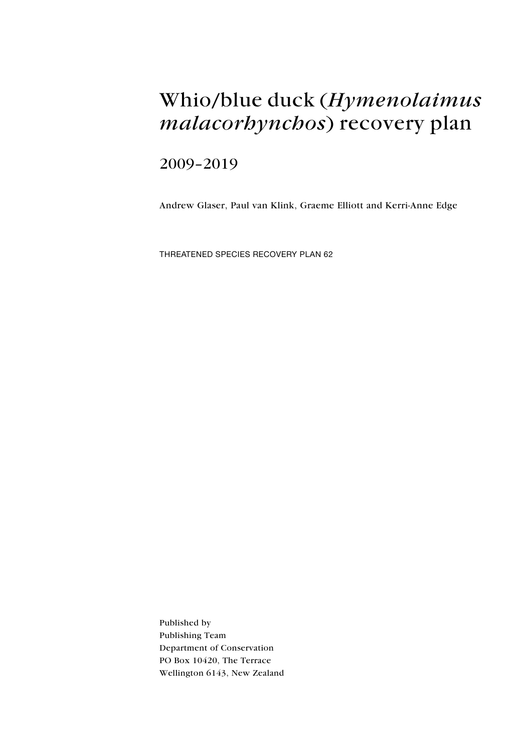# Whio/blue duck (Hymenolaimus malacorhynchos) recovery plan

## 2009–2019

Andrew Glaser, Paul van Klink, Graeme Elliott and Kerri-Anne Edge

Threatened Species Recovery Plan 62

Published by Publishing Team Department of Conservation PO Box 10420, The Terrace Wellington 6143, New Zealand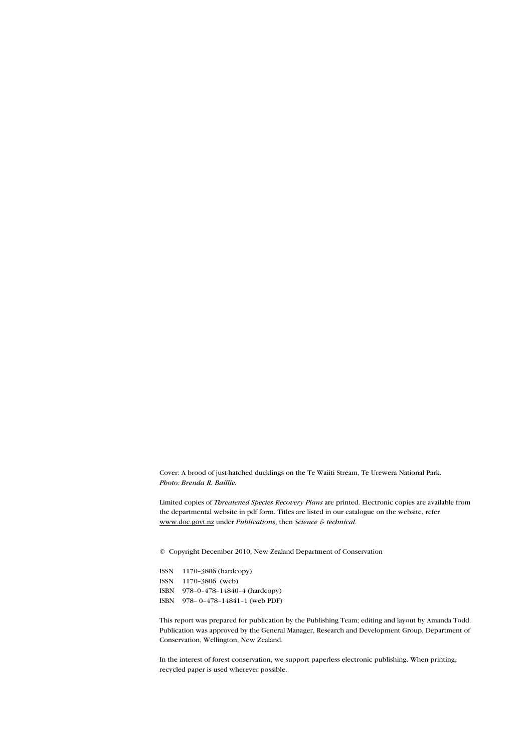Cover: A brood of just-hatched ducklings on the Te Waiiti Stream, Te Urewera National Park. Photo: Brenda R. Baillie.

Limited copies of Threatened Species Recovery Plans are printed. Electronic copies are available from the departmental website in pdf form. Titles are listed in our catalogue on the website, refer www.doc.govt.nz under Publications, then Science & technical.

© Copyright December 2010, New Zealand Department of Conservation

ISSN 1170–3806 (hardcopy) ISSN 1170–3806 (web) ISBN 978–0–478–14840–4 (hardcopy) ISBN 978– 0–478–14841–1 (web PDF)

This report was prepared for publication by the Publishing Team; editing and layout by Amanda Todd. Publication was approved by the General Manager, Research and Development Group, Department of Conservation, Wellington, New Zealand.

In the interest of forest conservation, we support paperless electronic publishing. When printing, recycled paper is used wherever possible.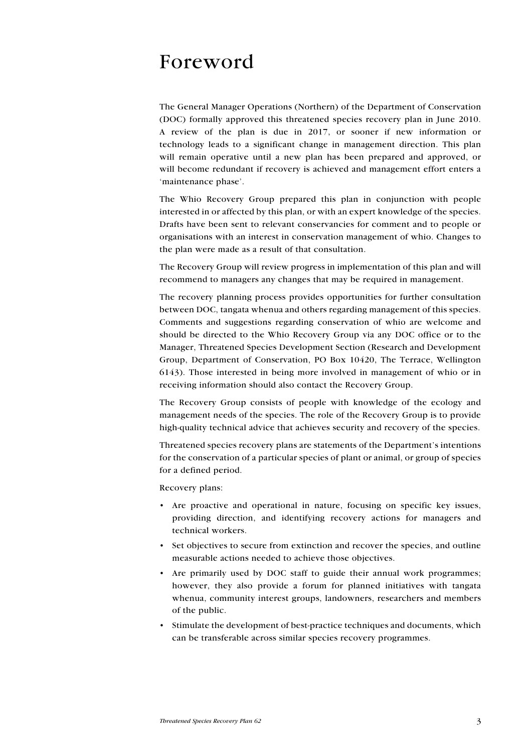## Foreword

The General Manager Operations (Northern) of the Department of Conservation (DOC) formally approved this threatened species recovery plan in June 2010. A review of the plan is due in 2017, or sooner if new information or technology leads to a significant change in management direction. This plan will remain operative until a new plan has been prepared and approved, or will become redundant if recovery is achieved and management effort enters a 'maintenance phase'.

The Whio Recovery Group prepared this plan in conjunction with people interested in or affected by this plan, or with an expert knowledge of the species. Drafts have been sent to relevant conservancies for comment and to people or organisations with an interest in conservation management of whio. Changes to the plan were made as a result of that consultation.

The Recovery Group will review progress in implementation of this plan and will recommend to managers any changes that may be required in management.

The recovery planning process provides opportunities for further consultation between DOC, tangata whenua and others regarding management of this species. Comments and suggestions regarding conservation of whio are welcome and should be directed to the Whio Recovery Group via any DOC office or to the Manager, Threatened Species Development Section (Research and Development Group, Department of Conservation, PO Box 10420, The Terrace, Wellington 6143). Those interested in being more involved in management of whio or in receiving information should also contact the Recovery Group.

The Recovery Group consists of people with knowledge of the ecology and management needs of the species. The role of the Recovery Group is to provide high-quality technical advice that achieves security and recovery of the species.

Threatened species recovery plans are statements of the Department's intentions for the conservation of a particular species of plant or animal, or group of species for a defined period.

Recovery plans:

- • Are proactive and operational in nature, focusing on specific key issues, providing direction, and identifying recovery actions for managers and technical workers.
- • Set objectives to secure from extinction and recover the species, and outline measurable actions needed to achieve those objectives.
- Are primarily used by DOC staff to guide their annual work programmes; however, they also provide a forum for planned initiatives with tangata whenua, community interest groups, landowners, researchers and members of the public.
- Stimulate the development of best-practice techniques and documents, which can be transferable across similar species recovery programmes.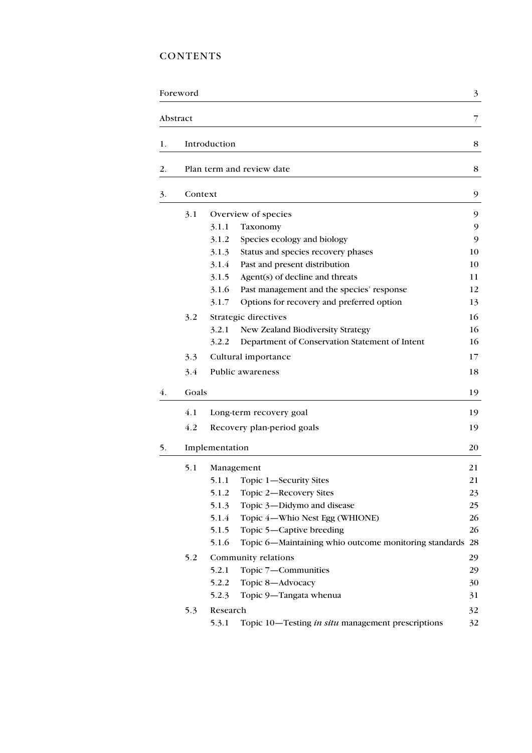## **CONTENTS**

|    | Foreword |                                                                | 3  |  |  |  |  |  |
|----|----------|----------------------------------------------------------------|----|--|--|--|--|--|
|    | Abstract |                                                                | 7  |  |  |  |  |  |
| 1. |          | Introduction                                                   | 8  |  |  |  |  |  |
| 2. |          | Plan term and review date                                      | 8  |  |  |  |  |  |
| 3. | Context  |                                                                | 9  |  |  |  |  |  |
|    | 3.1      | Overview of species                                            | 9  |  |  |  |  |  |
|    |          | Taxonomy<br>3.1.1                                              | 9  |  |  |  |  |  |
|    |          | 3.1.2<br>Species ecology and biology                           | 9  |  |  |  |  |  |
|    |          | 3.1.3<br>Status and species recovery phases                    | 10 |  |  |  |  |  |
|    |          | 3.1.4<br>Past and present distribution                         | 10 |  |  |  |  |  |
|    |          | 3.1.5<br>Agent(s) of decline and threats                       | 11 |  |  |  |  |  |
|    |          | 3.1.6<br>Past management and the species' response             | 12 |  |  |  |  |  |
|    |          | 3.1.7<br>Options for recovery and preferred option             | 13 |  |  |  |  |  |
|    | 3.2      | Strategic directives                                           | 16 |  |  |  |  |  |
|    |          | 3.2.1<br>New Zealand Biodiversity Strategy                     | 16 |  |  |  |  |  |
|    |          | Department of Conservation Statement of Intent<br>3.2.2        | 16 |  |  |  |  |  |
|    | 3.3      | Cultural importance                                            | 17 |  |  |  |  |  |
|    | 3.4      | Public awareness                                               | 18 |  |  |  |  |  |
| 4. | Goals    |                                                                | 19 |  |  |  |  |  |
|    | 4.1      | Long-term recovery goal                                        | 19 |  |  |  |  |  |
|    | 4.2      | Recovery plan-period goals                                     | 19 |  |  |  |  |  |
| 5. |          | Implementation                                                 |    |  |  |  |  |  |
|    | 5.1      | Management                                                     | 21 |  |  |  |  |  |
|    |          | 5.1.1<br>Topic 1-Security Sites                                | 21 |  |  |  |  |  |
|    |          | 5.1.2<br>Topic 2-Recovery Sites                                | 23 |  |  |  |  |  |
|    |          | Topic 3-Didymo and disease<br>5.1.3                            | 25 |  |  |  |  |  |
|    |          | 5.1.4<br>Topic 4-Whio Nest Egg (WHIONE)                        | 26 |  |  |  |  |  |
|    |          | Topic 5-Captive breeding<br>5.1.5                              | 26 |  |  |  |  |  |
|    |          | 5.1.6<br>Topic 6-Maintaining whio outcome monitoring standards | 28 |  |  |  |  |  |
|    | 5.2      | Community relations                                            | 29 |  |  |  |  |  |
|    |          | 5.2.1<br>Topic 7-Communities                                   | 29 |  |  |  |  |  |
|    |          | Topic 8-Advocacy<br>5.2.2                                      | 30 |  |  |  |  |  |
|    |          | 5.2.3<br>Topic 9-Tangata whenua                                | 31 |  |  |  |  |  |
|    | 5.3      | Research                                                       | 32 |  |  |  |  |  |
|    |          | 5.3.1<br>Topic 10—Testing in situ management prescriptions     | 32 |  |  |  |  |  |
|    |          |                                                                |    |  |  |  |  |  |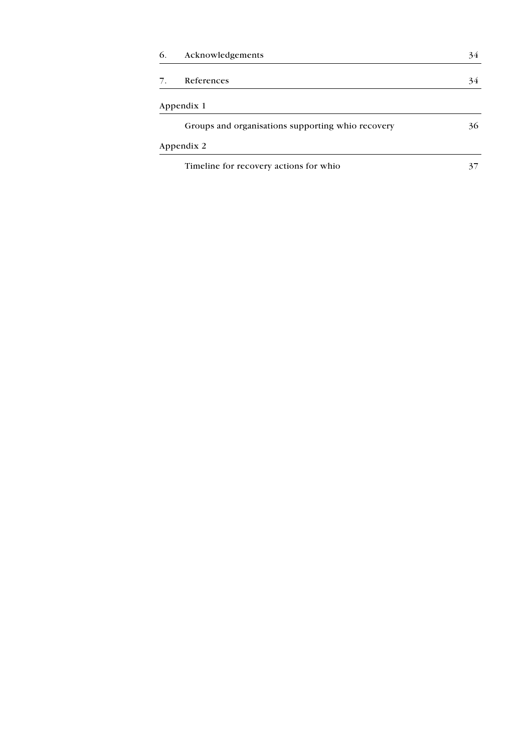| 6. | Acknowledgements                                  | 34 |
|----|---------------------------------------------------|----|
| 7. | References                                        | 34 |
|    | Appendix 1                                        |    |
|    | Groups and organisations supporting whio recovery | 36 |
|    | Appendix 2                                        |    |
|    | Timeline for recovery actions for whio            | 37 |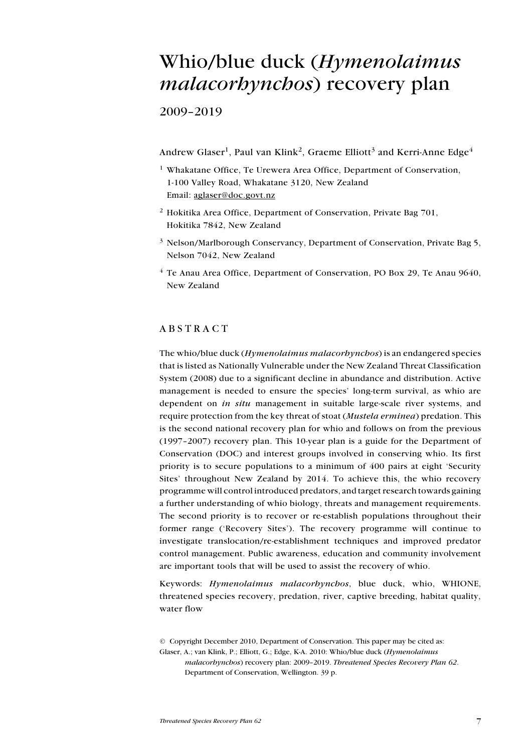## Whio/blue duck (Hymenolaimus malacorhynchos) recovery plan

2009–2019

Andrew Glaser<sup>1</sup>, Paul van Klink<sup>2</sup>, Graeme Elliott<sup>3</sup> and Kerri-Anne Edge<sup>4</sup>

- <sup>1</sup> Whakatane Office, Te Urewera Area Office, Department of Conservation, 1-100 Valley Road, Whakatane 3120, New Zealand Email: aglaser@doc.govt.nz
- <sup>2</sup> Hokitika Area Office, Department of Conservation, Private Bag 701, Hokitika 7842, New Zealand
- <sup>3</sup> Nelson/Marlborough Conservancy, Department of Conservation, Private Bag 5, Nelson 7042, New Zealand
- <sup>4</sup> Te Anau Area Office, Department of Conservation, PO Box 29, Te Anau 9640, New Zealand

## **ABSTRACT**

The whio/blue duck  $(Hymenolaimus malacorbyncbos)$  is an endangered species that is listed as Nationally Vulnerable under the New Zealand Threat Classification System (2008) due to a significant decline in abundance and distribution. Active management is needed to ensure the species' long-term survival, as whio are dependent on in situ management in suitable large-scale river systems, and require protection from the key threat of stoat (Mustela erminea) predation. This is the second national recovery plan for whio and follows on from the previous (1997–2007) recovery plan. This 10-year plan is a guide for the Department of Conservation (DOC) and interest groups involved in conserving whio. Its first priority is to secure populations to a minimum of 400 pairs at eight 'Security Sites' throughout New Zealand by 2014. To achieve this, the whio recovery programme will control introduced predators, and target research towards gaining a further understanding of whio biology, threats and management requirements. The second priority is to recover or re-establish populations throughout their former range ('Recovery Sites'). The recovery programme will continue to investigate translocation/re-establishment techniques and improved predator control management. Public awareness, education and community involvement are important tools that will be used to assist the recovery of whio.

Keywords: *Hymenolaimus malacorbynchos*, blue duck, whio, WHIONE, threatened species recovery, predation, river, captive breeding, habitat quality, water flow

<sup>©</sup> Copyright December 2010, Department of Conservation. This paper may be cited as: Glaser, A.; van Klink, P.; Elliott, G.; Edge, K-A. 2010: Whio/blue duck (Hymenolaimus malacorhynchos) recovery plan: 2009–2019. Threatened Species Recovery Plan 62. Department of Conservation, Wellington. 39 p.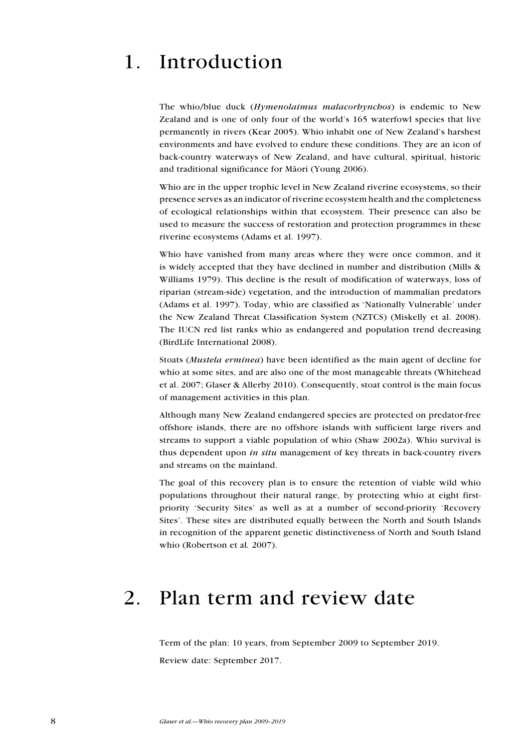## 1. Introduction

The whio/blue duck (*Hymenolaimus malacorhynchos*) is endemic to New Zealand and is one of only four of the world's 165 waterfowl species that live permanently in rivers (Kear 2005). Whio inhabit one of New Zealand's harshest environments and have evolved to endure these conditions. They are an icon of back-country waterways of New Zealand, and have cultural, spiritual, historic and traditional significance for Mäori (Young 2006).

Whio are in the upper trophic level in New Zealand riverine ecosystems, so their presence serves as an indicator of riverine ecosystem health and the completeness of ecological relationships within that ecosystem. Their presence can also be used to measure the success of restoration and protection programmes in these riverine ecosystems (Adams et al. 1997).

Whio have vanished from many areas where they were once common, and it is widely accepted that they have declined in number and distribution (Mills & Williams 1979). This decline is the result of modification of waterways, loss of riparian (stream-side) vegetation, and the introduction of mammalian predators (Adams et al. 1997). Today, whio are classified as 'Nationally Vulnerable' under the New Zealand Threat Classification System (NZTCS) (Miskelly et al. 2008). The IUCN red list ranks whio as endangered and population trend decreasing (BirdLife International 2008).

Stoats (Mustela erminea) have been identified as the main agent of decline for whio at some sites, and are also one of the most manageable threats (Whitehead et al. 2007; Glaser & Allerby 2010). Consequently, stoat control is the main focus of management activities in this plan.

Although many New Zealand endangered species are protected on predator-free offshore islands, there are no offshore islands with sufficient large rivers and streams to support a viable population of whio (Shaw 2002a). Whio survival is thus dependent upon *in situ* management of key threats in back-country rivers and streams on the mainland.

The goal of this recovery plan is to ensure the retention of viable wild whio populations throughout their natural range, by protecting whio at eight firstpriority 'Security Sites' as well as at a number of second-priority 'Recovery Sites'. These sites are distributed equally between the North and South Islands in recognition of the apparent genetic distinctiveness of North and South Island whio (Robertson et al. 2007).

## 2. Plan term and review date

Term of the plan: 10 years, from September 2009 to September 2019. Review date: September 2017.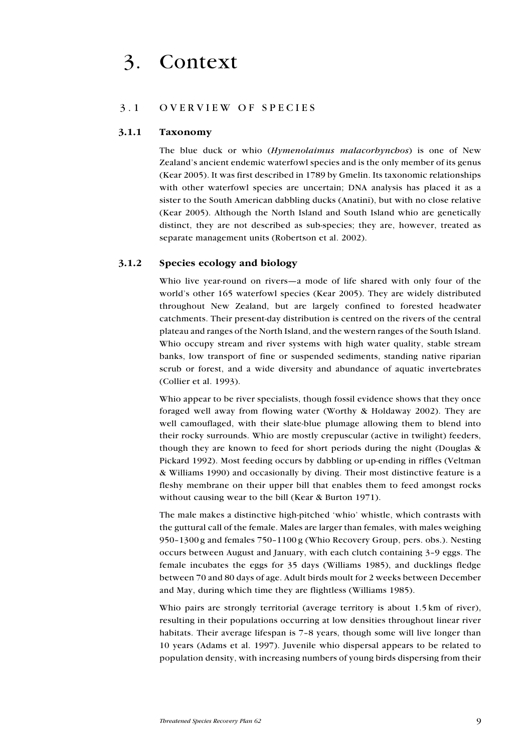## 3.1 O verview of species

#### 3.1.1 Taxonomy

The blue duck or whio (Hymenolaimus malacorhynchos) is one of New Zealand's ancient endemic waterfowl species and is the only member of its genus (Kear 2005). It was first described in 1789 by Gmelin. Its taxonomic relationships with other waterfowl species are uncertain; DNA analysis has placed it as a sister to the South American dabbling ducks (Anatini), but with no close relative (Kear 2005). Although the North Island and South Island whio are genetically distinct, they are not described as sub-species; they are, however, treated as separate management units (Robertson et al. 2002).

### 3.1.2 Species ecology and biology

Whio live year-round on rivers—a mode of life shared with only four of the world's other 165 waterfowl species (Kear 2005). They are widely distributed throughout New Zealand, but are largely confined to forested headwater catchments. Their present-day distribution is centred on the rivers of the central plateau and ranges of the North Island, and the western ranges of the South Island. Whio occupy stream and river systems with high water quality, stable stream banks, low transport of fine or suspended sediments, standing native riparian scrub or forest, and a wide diversity and abundance of aquatic invertebrates (Collier et al. 1993).

Whio appear to be river specialists, though fossil evidence shows that they once foraged well away from flowing water (Worthy & Holdaway 2002). They are well camouflaged, with their slate-blue plumage allowing them to blend into their rocky surrounds. Whio are mostly crepuscular (active in twilight) feeders, though they are known to feed for short periods during the night (Douglas & Pickard 1992). Most feeding occurs by dabbling or up-ending in riffles (Veltman & Williams 1990) and occasionally by diving. Their most distinctive feature is a fleshy membrane on their upper bill that enables them to feed amongst rocks without causing wear to the bill (Kear & Burton 1971).

The male makes a distinctive high-pitched 'whio' whistle, which contrasts with the guttural call of the female. Males are larger than females, with males weighing 950–1300 g and females 750–1100 g (Whio Recovery Group, pers. obs.). Nesting occurs between August and January, with each clutch containing 3–9 eggs. The female incubates the eggs for 35 days (Williams 1985), and ducklings fledge between 70 and 80 days of age. Adult birds moult for 2 weeks between December and May, during which time they are flightless (Williams 1985).

Whio pairs are strongly territorial (average territory is about 1.5 km of river), resulting in their populations occurring at low densities throughout linear river habitats. Their average lifespan is 7–8 years, though some will live longer than 10 years (Adams et al. 1997). Juvenile whio dispersal appears to be related to population density, with increasing numbers of young birds dispersing from their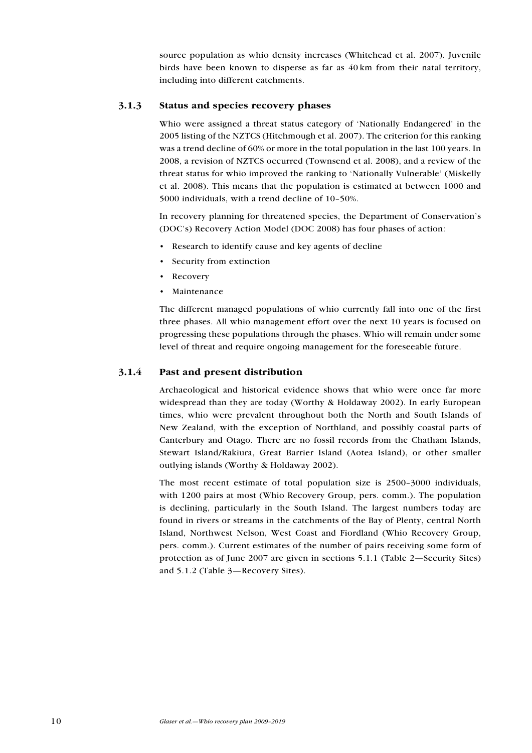source population as whio density increases (Whitehead et al. 2007). Juvenile birds have been known to disperse as far as 40 km from their natal territory, including into different catchments.

## 3.1.3 Status and species recovery phases

Whio were assigned a threat status category of 'Nationally Endangered' in the 2005 listing of the NZTCS (Hitchmough et al. 2007). The criterion for this ranking was a trend decline of 60% or more in the total population in the last 100 years. In 2008, a revision of NZTCS occurred (Townsend et al. 2008), and a review of the threat status for whio improved the ranking to 'Nationally Vulnerable' (Miskelly et al. 2008). This means that the population is estimated at between 1000 and 5000 individuals, with a trend decline of 10–50%.

In recovery planning for threatened species, the Department of Conservation's (DOC's) Recovery Action Model (DOC 2008) has four phases of action:

- Research to identify cause and key agents of decline
- • Security from extinction
- **Recovery**
- **Maintenance**

The different managed populations of whio currently fall into one of the first three phases. All whio management effort over the next 10 years is focused on progressing these populations through the phases. Whio will remain under some level of threat and require ongoing management for the foreseeable future.

## 3.1.4 Past and present distribution

Archaeological and historical evidence shows that whio were once far more widespread than they are today (Worthy & Holdaway 2002). In early European times, whio were prevalent throughout both the North and South Islands of New Zealand, with the exception of Northland, and possibly coastal parts of Canterbury and Otago. There are no fossil records from the Chatham Islands, Stewart Island/Rakiura, Great Barrier Island (Aotea Island), or other smaller outlying islands (Worthy & Holdaway 2002).

The most recent estimate of total population size is 2500–3000 individuals, with 1200 pairs at most (Whio Recovery Group, pers. comm.). The population is declining, particularly in the South Island. The largest numbers today are found in rivers or streams in the catchments of the Bay of Plenty, central North Island, Northwest Nelson, West Coast and Fiordland (Whio Recovery Group, pers. comm.). Current estimates of the number of pairs receiving some form of protection as of June 2007 are given in sections 5.1.1 (Table 2—Security Sites) and 5.1.2 (Table 3—Recovery Sites).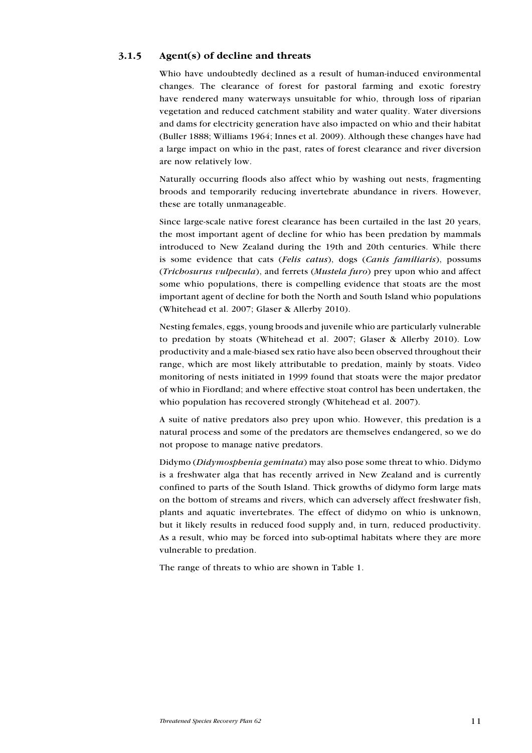## 3.1.5 Agent(s) of decline and threats

Whio have undoubtedly declined as a result of human-induced environmental changes. The clearance of forest for pastoral farming and exotic forestry have rendered many waterways unsuitable for whio, through loss of riparian vegetation and reduced catchment stability and water quality. Water diversions and dams for electricity generation have also impacted on whio and their habitat (Buller 1888; Williams 1964; Innes et al. 2009). Although these changes have had a large impact on whio in the past, rates of forest clearance and river diversion are now relatively low.

Naturally occurring floods also affect whio by washing out nests, fragmenting broods and temporarily reducing invertebrate abundance in rivers. However, these are totally unmanageable.

Since large-scale native forest clearance has been curtailed in the last 20 years, the most important agent of decline for whio has been predation by mammals introduced to New Zealand during the 19th and 20th centuries. While there is some evidence that cats (Felis catus), dogs (Canis familiaris), possums (Trichosurus vulpecula), and ferrets (Mustela furo) prey upon whio and affect some whio populations, there is compelling evidence that stoats are the most important agent of decline for both the North and South Island whio populations (Whitehead et al. 2007; Glaser & Allerby 2010).

Nesting females, eggs, young broods and juvenile whio are particularly vulnerable to predation by stoats (Whitehead et al. 2007; Glaser & Allerby 2010). Low productivity and a male-biased sex ratio have also been observed throughout their range, which are most likely attributable to predation, mainly by stoats. Video monitoring of nests initiated in 1999 found that stoats were the major predator of whio in Fiordland; and where effective stoat control has been undertaken, the whio population has recovered strongly (Whitehead et al. 2007).

A suite of native predators also prey upon whio. However, this predation is a natural process and some of the predators are themselves endangered, so we do not propose to manage native predators.

Didymo (Didymosphenia geminata) may also pose some threat to whio. Didymo is a freshwater alga that has recently arrived in New Zealand and is currently confined to parts of the South Island. Thick growths of didymo form large mats on the bottom of streams and rivers, which can adversely affect freshwater fish, plants and aquatic invertebrates. The effect of didymo on whio is unknown, but it likely results in reduced food supply and, in turn, reduced productivity. As a result, whio may be forced into sub-optimal habitats where they are more vulnerable to predation.

The range of threats to whio are shown in Table 1.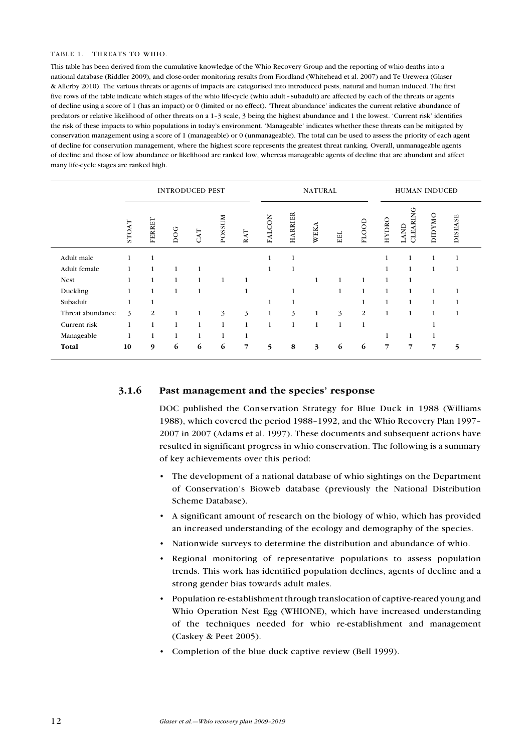#### TABLE 1. THREATS TO WHIO.

This table has been derived from the cumulative knowledge of the Whio Recovery Group and the reporting of whio deaths into a national database (Riddler 2009), and close-order monitoring results from Fiordland (Whitehead et al. 2007) and Te Urewera (Glaser & Allerby 2010). The various threats or agents of impacts are categorised into introduced pests, natural and human induced. The first five rows of the table indicate which stages of the whio life-cycle (whio adult –subadult) are affected by each of the threats or agents of decline using a score of 1 (has an impact) or 0 (limited or no effect). 'Threat abundance' indicates the current relative abundance of predators or relative likelihood of other threats on a 1–3 scale, 3 being the highest abundance and 1 the lowest. 'Current risk' identifies the risk of these impacts to whio populations in today's environment. 'Manageable' indicates whether these threats can be mitigated by conservation management using a score of 1 (manageable) or 0 (unmanageable). The total can be used to assess the priority of each agent of decline for conservation management, where the highest score represents the greatest threat ranking. Overall, unmanageable agents of decline and those of low abundance or likelihood are ranked low, whereas manageable agents of decline that are abundant and affect many life-cycle stages are ranked high.

|                  |              | <b>INTRODUCED PEST</b> |              |                |               |                |        | <b>NATURAL</b> |      |     | HUMAN INDUCED |              |                       |               |                |
|------------------|--------------|------------------------|--------------|----------------|---------------|----------------|--------|----------------|------|-----|---------------|--------------|-----------------------|---------------|----------------|
|                  | <b>STOAT</b> | FERRET                 | DOG          | $\mathsf{CAT}$ | <b>POSSUM</b> | RAT            | FALCON | <b>HARRIER</b> | WEKA | EEL | FLOOD         | HYDRO        | O<br>LAND<br>CLEARING | <b>DIDYMO</b> | <b>DISEASE</b> |
| Adult male       |              |                        |              |                |               |                |        |                |      |     |               |              | 1                     | 1             | 1              |
| Adult female     |              | 1                      | 1            |                |               |                |        |                |      |     |               |              | $\mathbf{1}$          | 1             | 1              |
| <b>Nest</b>      |              | 1                      | $\mathbf{1}$ | $\mathbf{1}$   | 1             |                |        |                |      |     | 1             |              |                       |               |                |
| Duckling         |              |                        | $\mathbf{1}$ | 1              |               |                |        |                |      | 1   | 1             | 1            | 1                     | 1             | 1              |
| Subadult         |              |                        |              |                |               |                |        |                |      |     |               |              | $\mathbf{1}$          | 1             | 1              |
| Threat abundance | 3            | 2                      | 1            | 1              | 3             | 3              | 1      | 3              | 1    | 3   | 2             | $\mathbf{1}$ | $\mathbf{1}$          | $\mathbf{1}$  | 1              |
| Current risk     | 1            | 1                      | 1            | 1              | 1             | $\mathbf 1$    |        | $\mathbf{1}$   | 1    | 1   | 1             |              |                       |               |                |
| Manageable       |              |                        |              | 1              | 1             |                |        |                |      |     |               |              |                       | 1             |                |
| Total            | 10           | 9                      | 6            | 6              | 6             | $\overline{7}$ | 5      | 8              | 3    | 6   | 6             | 7            | 7                     | 7             | 5              |

#### 3.1.6 Past management and the species' response

DOC published the Conservation Strategy for Blue Duck in 1988 (Williams 1988), which covered the period 1988–1992, and the Whio Recovery Plan 1997– 2007 in 2007 (Adams et al. 1997). These documents and subsequent actions have resulted in significant progress in whio conservation. The following is a summary of key achievements over this period:

- • The development of a national database of whio sightings on the Department of Conservation's Bioweb database (previously the National Distribution Scheme Database).
- • A significant amount of research on the biology of whio, which has provided an increased understanding of the ecology and demography of the species.
- • Nationwide surveys to determine the distribution and abundance of whio.
- Regional monitoring of representative populations to assess population trends. This work has identified population declines, agents of decline and a strong gender bias towards adult males.
- • Population re-establishment through translocation of captive-reared young and Whio Operation Nest Egg (WHIONE), which have increased understanding of the techniques needed for whio re-establishment and management (Caskey & Peet 2005).
- Completion of the blue duck captive review (Bell 1999).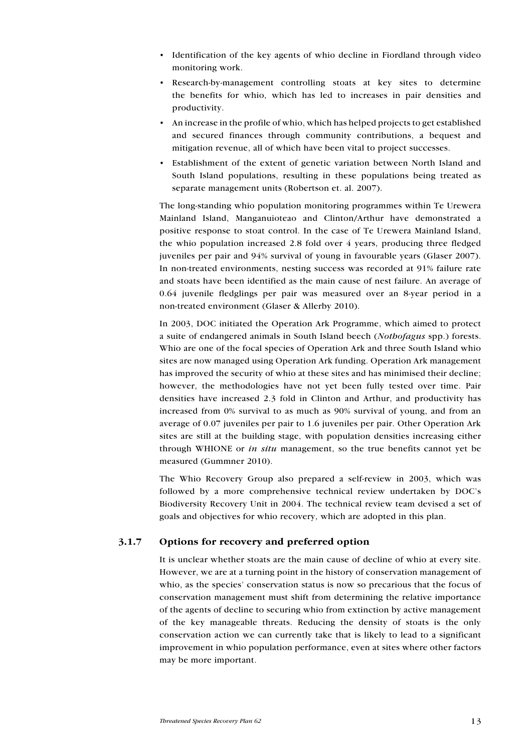- • Identification of the key agents of whio decline in Fiordland through video monitoring work.
- • Research-by-management controlling stoats at key sites to determine the benefits for whio, which has led to increases in pair densities and productivity.
- • An increase in the profile of whio, which has helped projects to get established and secured finances through community contributions, a bequest and mitigation revenue, all of which have been vital to project successes.
- • Establishment of the extent of genetic variation between North Island and South Island populations, resulting in these populations being treated as separate management units (Robertson et. al. 2007).

The long-standing whio population monitoring programmes within Te Urewera Mainland Island, Manganuioteao and Clinton/Arthur have demonstrated a positive response to stoat control. In the case of Te Urewera Mainland Island, the whio population increased 2.8 fold over 4 years, producing three fledged juveniles per pair and 94% survival of young in favourable years (Glaser 2007). In non-treated environments, nesting success was recorded at 91% failure rate and stoats have been identified as the main cause of nest failure. An average of 0.64 juvenile fledglings per pair was measured over an 8-year period in a non-treated environment (Glaser & Allerby 2010).

In 2003, DOC initiated the Operation Ark Programme, which aimed to protect a suite of endangered animals in South Island beech (Nothofagus spp.) forests. Whio are one of the focal species of Operation Ark and three South Island whio sites are now managed using Operation Ark funding. Operation Ark management has improved the security of whio at these sites and has minimised their decline; however, the methodologies have not yet been fully tested over time. Pair densities have increased 2.3 fold in Clinton and Arthur, and productivity has increased from 0% survival to as much as 90% survival of young, and from an average of 0.07 juveniles per pair to 1.6 juveniles per pair. Other Operation Ark sites are still at the building stage, with population densities increasing either through WHIONE or in situ management, so the true benefits cannot yet be measured (Gummner 2010).

The Whio Recovery Group also prepared a self-review in 2003, which was followed by a more comprehensive technical review undertaken by DOC's Biodiversity Recovery Unit in 2004. The technical review team devised a set of goals and objectives for whio recovery, which are adopted in this plan.

## 3.1.7 Options for recovery and preferred option

It is unclear whether stoats are the main cause of decline of whio at every site. However, we are at a turning point in the history of conservation management of whio, as the species' conservation status is now so precarious that the focus of conservation management must shift from determining the relative importance of the agents of decline to securing whio from extinction by active management of the key manageable threats. Reducing the density of stoats is the only conservation action we can currently take that is likely to lead to a significant improvement in whio population performance, even at sites where other factors may be more important.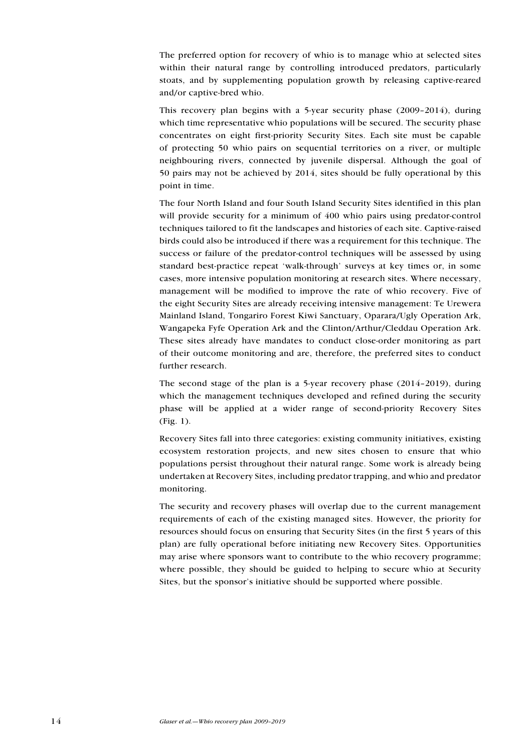The preferred option for recovery of whio is to manage whio at selected sites within their natural range by controlling introduced predators, particularly stoats, and by supplementing population growth by releasing captive-reared and/or captive-bred whio.

This recovery plan begins with a 5-year security phase (2009–2014), during which time representative whio populations will be secured. The security phase concentrates on eight first-priority Security Sites. Each site must be capable of protecting 50 whio pairs on sequential territories on a river, or multiple neighbouring rivers, connected by juvenile dispersal. Although the goal of 50 pairs may not be achieved by 2014, sites should be fully operational by this point in time.

The four North Island and four South Island Security Sites identified in this plan will provide security for a minimum of 400 whio pairs using predator-control techniques tailored to fit the landscapes and histories of each site. Captive-raised birds could also be introduced if there was a requirement for this technique. The success or failure of the predator-control techniques will be assessed by using standard best-practice repeat 'walk-through' surveys at key times or, in some cases, more intensive population monitoring at research sites. Where necessary, management will be modified to improve the rate of whio recovery. Five of the eight Security Sites are already receiving intensive management: Te Urewera Mainland Island, Tongariro Forest Kiwi Sanctuary, Oparara/Ugly Operation Ark, Wangapeka Fyfe Operation Ark and the Clinton/Arthur/Cleddau Operation Ark. These sites already have mandates to conduct close-order monitoring as part of their outcome monitoring and are, therefore, the preferred sites to conduct further research.

The second stage of the plan is a 5-year recovery phase (2014–2019), during which the management techniques developed and refined during the security phase will be applied at a wider range of second-priority Recovery Sites (Fig. 1).

Recovery Sites fall into three categories: existing community initiatives, existing ecosystem restoration projects, and new sites chosen to ensure that whio populations persist throughout their natural range. Some work is already being undertaken at Recovery Sites, including predator trapping, and whio and predator monitoring.

The security and recovery phases will overlap due to the current management requirements of each of the existing managed sites. However, the priority for resources should focus on ensuring that Security Sites (in the first 5 years of this plan) are fully operational before initiating new Recovery Sites. Opportunities may arise where sponsors want to contribute to the whio recovery programme; where possible, they should be guided to helping to secure whio at Security Sites, but the sponsor's initiative should be supported where possible.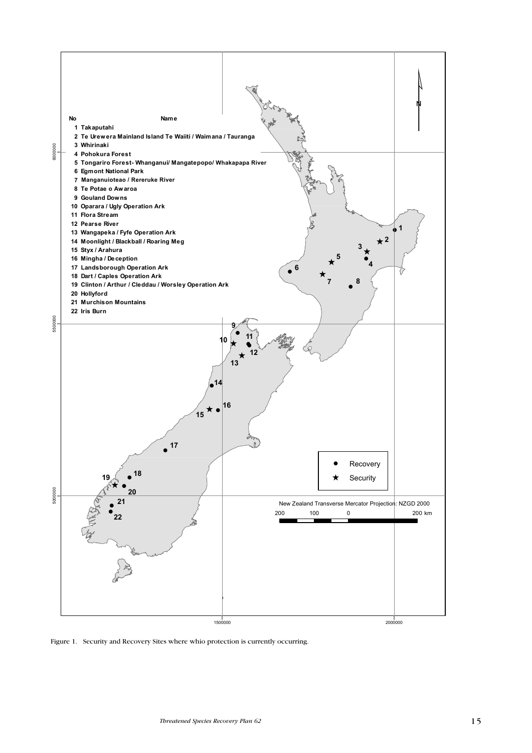

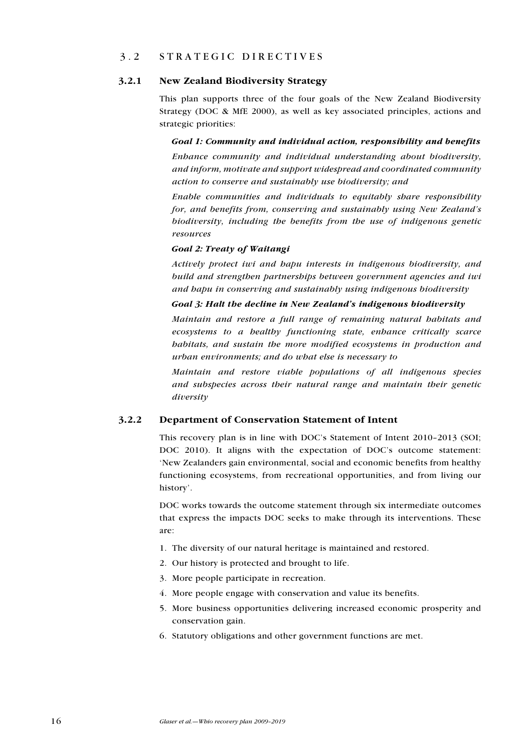## 3.2 S trategic directives

#### 3.2.1 New Zealand Biodiversity Strategy

This plan supports three of the four goals of the New Zealand Biodiversity Strategy (DOC & MfE 2000), as well as key associated principles, actions and strategic priorities:

Goal 1: Community and individual action, responsibility and benefits Enhance community and individual understanding about biodiversity, and inform, motivate and support widespread and coordinated community action to conserve and sustainably use biodiversity; and

Enable communities and individuals to equitably share responsibility for, and benefits from, conserving and sustainably using New Zealand's biodiversity, including the benefits from the use of indigenous genetic resources

#### Goal 2: Treaty of Waitangi

Actively protect iwi and hapu interests in indigenous biodiversity, and build and strengthen partnerships between government agencies and iwi and hapu in conserving and sustainably using indigenous biodiversity

#### Goal 3: Halt the decline in New Zealand's indigenous biodiversity

Maintain and restore a full range of remaining natural habitats and ecosystems to a healthy functioning state, enhance critically scarce habitats, and sustain the more modified ecosystems in production and urban environments; and do what else is necessary to

Maintain and restore viable populations of all indigenous species and subspecies across their natural range and maintain their genetic diversity

#### 3.2.2 Department of Conservation Statement of Intent

This recovery plan is in line with DOC's Statement of Intent 2010–2013 (SOI; DOC 2010). It aligns with the expectation of DOC's outcome statement: 'New Zealanders gain environmental, social and economic benefits from healthy functioning ecosystems, from recreational opportunities, and from living our history'.

DOC works towards the outcome statement through six intermediate outcomes that express the impacts DOC seeks to make through its interventions. These are:

- 1. The diversity of our natural heritage is maintained and restored.
- 2. Our history is protected and brought to life.
- 3. More people participate in recreation.
- 4. More people engage with conservation and value its benefits.
- 5. More business opportunities delivering increased economic prosperity and conservation gain.
- 6. Statutory obligations and other government functions are met.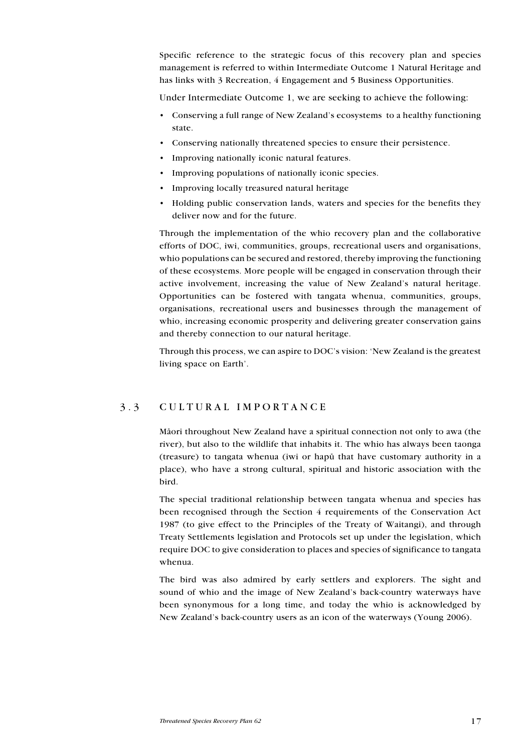Specific reference to the strategic focus of this recovery plan and species management is referred to within Intermediate Outcome 1 Natural Heritage and has links with 3 Recreation, 4 Engagement and 5 Business Opportunities.

Under Intermediate Outcome 1, we are seeking to achieve the following:

- • Conserving a full range of New Zealand's ecosystems to a healthy functioning state.
- • Conserving nationally threatened species to ensure their persistence.
- • Improving nationally iconic natural features.
- Improving populations of nationally iconic species.
- • Improving locally treasured natural heritage
- Holding public conservation lands, waters and species for the benefits they deliver now and for the future.

Through the implementation of the whio recovery plan and the collaborative efforts of DOC, iwi, communities, groups, recreational users and organisations, whio populations can be secured and restored, thereby improving the functioning of these ecosystems. More people will be engaged in conservation through their active involvement, increasing the value of New Zealand's natural heritage. Opportunities can be fostered with tangata whenua, communities, groups, organisations, recreational users and businesses through the management of whio, increasing economic prosperity and delivering greater conservation gains and thereby connection to our natural heritage.

Through this process, we can aspire to DOC's vision: 'New Zealand is the greatest living space on Earth'.

## 3 . 3 C ultural importance

Mäori throughout New Zealand have a spiritual connection not only to awa (the river), but also to the wildlife that inhabits it. The whio has always been taonga (treasure) to tangata whenua (iwi or hapü that have customary authority in a place), who have a strong cultural, spiritual and historic association with the bird.

The special traditional relationship between tangata whenua and species has been recognised through the Section 4 requirements of the Conservation Act 1987 (to give effect to the Principles of the Treaty of Waitangi), and through Treaty Settlements legislation and Protocols set up under the legislation, which require DOC to give consideration to places and species of significance to tangata whenua.

The bird was also admired by early settlers and explorers. The sight and sound of whio and the image of New Zealand's back-country waterways have been synonymous for a long time, and today the whio is acknowledged by New Zealand's back-country users as an icon of the waterways (Young 2006).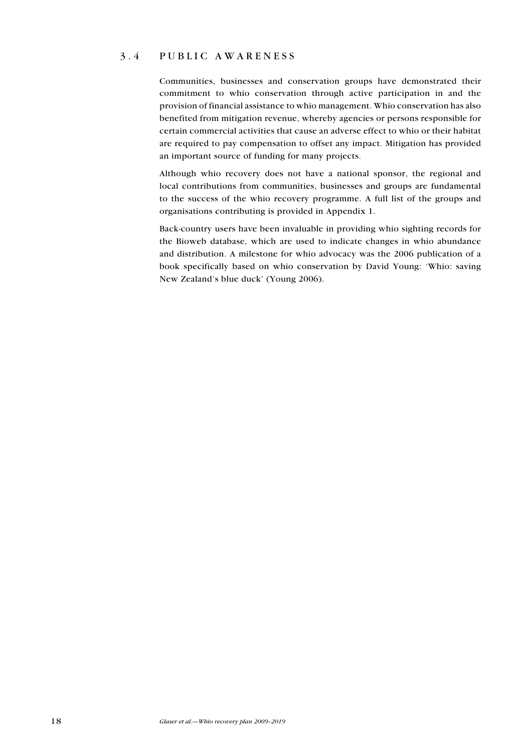## 3.4 P ublic awareness

Communities, businesses and conservation groups have demonstrated their commitment to whio conservation through active participation in and the provision of financial assistance to whio management. Whio conservation has also benefited from mitigation revenue, whereby agencies or persons responsible for certain commercial activities that cause an adverse effect to whio or their habitat are required to pay compensation to offset any impact. Mitigation has provided an important source of funding for many projects.

Although whio recovery does not have a national sponsor, the regional and local contributions from communities, businesses and groups are fundamental to the success of the whio recovery programme. A full list of the groups and organisations contributing is provided in Appendix 1.

Back-country users have been invaluable in providing whio sighting records for the Bioweb database, which are used to indicate changes in whio abundance and distribution. A milestone for whio advocacy was the 2006 publication of a book specifically based on whio conservation by David Young: 'Whio: saving New Zealand's blue duck' (Young 2006).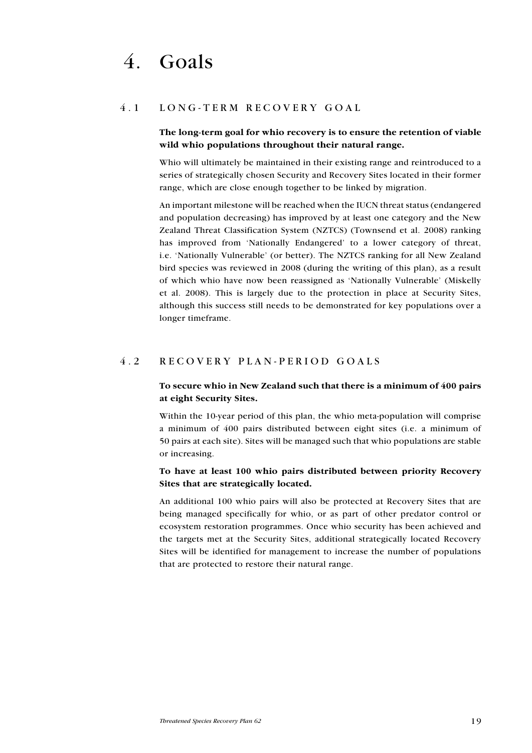## 4.1 LONG-TERM RECOVERY GOAL

## The long-term goal for whio recovery is to ensure the retention of viable wild whio populations throughout their natural range.

Whio will ultimately be maintained in their existing range and reintroduced to a series of strategically chosen Security and Recovery Sites located in their former range, which are close enough together to be linked by migration.

An important milestone will be reached when the IUCN threat status (endangered and population decreasing) has improved by at least one category and the New Zealand Threat Classification System (NZTCS) (Townsend et al. 2008) ranking has improved from 'Nationally Endangered' to a lower category of threat, i.e. 'Nationally Vulnerable' (or better). The NZTCS ranking for all New Zealand bird species was reviewed in 2008 (during the writing of this plan), as a result of which whio have now been reassigned as 'Nationally Vulnerable' (Miskelly et al. 2008). This is largely due to the protection in place at Security Sites, although this success still needs to be demonstrated for key populations over a longer timeframe.

## 4.2 R ecovery plan - period goals

## To secure whio in New Zealand such that there is a minimum of 400 pairs at eight Security Sites.

Within the 10-year period of this plan, the whio meta-population will comprise a minimum of 400 pairs distributed between eight sites (i.e. a minimum of 50 pairs at each site). Sites will be managed such that whio populations are stable or increasing.

## To have at least 100 whio pairs distributed between priority Recovery Sites that are strategically located.

An additional 100 whio pairs will also be protected at Recovery Sites that are being managed specifically for whio, or as part of other predator control or ecosystem restoration programmes. Once whio security has been achieved and the targets met at the Security Sites, additional strategically located Recovery Sites will be identified for management to increase the number of populations that are protected to restore their natural range.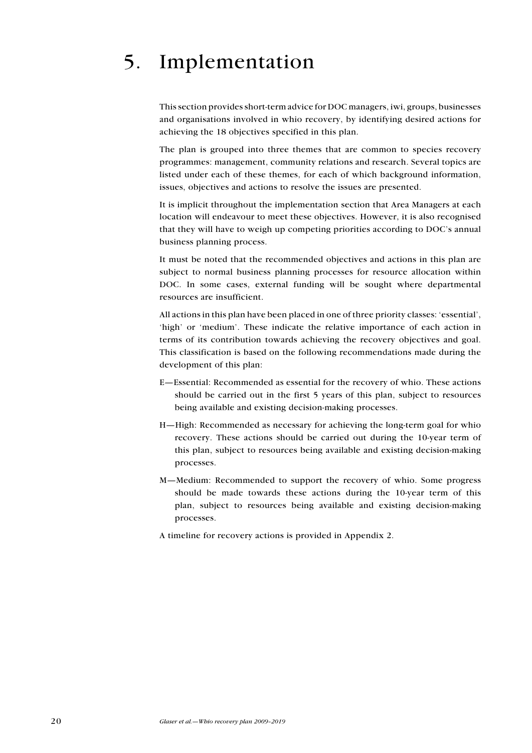# 5. Implementation

This section provides short-term advice for DOC managers, iwi, groups, businesses and organisations involved in whio recovery, by identifying desired actions for achieving the 18 objectives specified in this plan.

The plan is grouped into three themes that are common to species recovery programmes: management, community relations and research. Several topics are listed under each of these themes, for each of which background information, issues, objectives and actions to resolve the issues are presented.

It is implicit throughout the implementation section that Area Managers at each location will endeavour to meet these objectives. However, it is also recognised that they will have to weigh up competing priorities according to DOC's annual business planning process.

It must be noted that the recommended objectives and actions in this plan are subject to normal business planning processes for resource allocation within DOC. In some cases, external funding will be sought where departmental resources are insufficient.

All actions in this plan have been placed in one of three priority classes: 'essential', 'high' or 'medium'. These indicate the relative importance of each action in terms of its contribution towards achieving the recovery objectives and goal. This classification is based on the following recommendations made during the development of this plan:

- E—Essential: Recommended as essential for the recovery of whio. These actions should be carried out in the first 5 years of this plan, subject to resources being available and existing decision-making processes.
- H—High: Recommended as necessary for achieving the long-term goal for whio recovery. These actions should be carried out during the 10-year term of this plan, subject to resources being available and existing decision-making processes.
- M—Medium: Recommended to support the recovery of whio. Some progress should be made towards these actions during the 10-year term of this plan, subject to resources being available and existing decision-making processes.
- A timeline for recovery actions is provided in Appendix 2.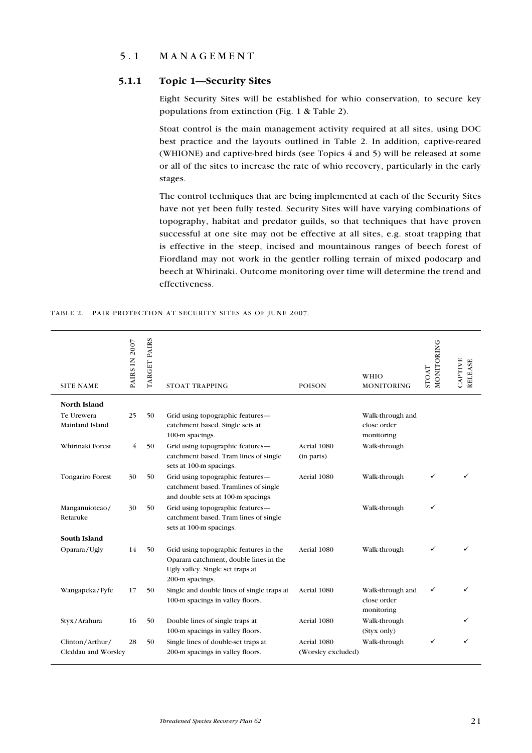## 5.1 MANAGEMENT

### 5.1.1 Topic 1—Security Sites

Eight Security Sites will be established for whio conservation, to secure key populations from extinction (Fig. 1 & Table 2).

Stoat control is the main management activity required at all sites, using DOC best practice and the layouts outlined in Table 2. In addition, captive-reared (WHIONE) and captive-bred birds (see Topics 4 and 5) will be released at some or all of the sites to increase the rate of whio recovery, particularly in the early stages.

The control techniques that are being implemented at each of the Security Sites have not yet been fully tested. Security Sites will have varying combinations of topography, habitat and predator guilds, so that techniques that have proven successful at one site may not be effective at all sites, e.g. stoat trapping that is effective in the steep, incised and mountainous ranges of beech forest of Fiordland may not work in the gentler rolling terrain of mixed podocarp and beech at Whirinaki. Outcome monitoring over time will determine the trend and effectiveness.

|  |  | TABLE 2. PAIR PROTECTION AT SECURITY SITES AS OF JUNE 2007. |  |  |  |
|--|--|-------------------------------------------------------------|--|--|--|
|--|--|-------------------------------------------------------------|--|--|--|

| <b>SITE NAME</b>                       | PAIRS IN 2007 | TARGET PAIRS | <b>STOAT TRAPPING</b>                                                                                                                   | <b>POISON</b>                     | WHIO<br>MONITORING                            | MONITORING<br><b>TAOTS</b> | <b>CAPTIVE</b><br>RELEASE |
|----------------------------------------|---------------|--------------|-----------------------------------------------------------------------------------------------------------------------------------------|-----------------------------------|-----------------------------------------------|----------------------------|---------------------------|
| <b>North Island</b>                    |               |              |                                                                                                                                         |                                   |                                               |                            |                           |
| Te Urewera<br>Mainland Island          | 25            | 50           | Grid using topographic features-<br>catchment based. Single sets at<br>100-m spacings.                                                  |                                   | Walk-through and<br>close order<br>monitoring |                            |                           |
| Whirinaki Forest                       | 4             | 50           | Grid using topographic features-<br>catchment based. Tram lines of single<br>sets at 100-m spacings.                                    | Aerial 1080<br>(in parts)         | Walk-through                                  |                            |                           |
| Tongariro Forest                       | 30            | 50           | Grid using topographic features-<br>catchment based. Tramlines of single<br>and double sets at 100-m spacings.                          | Aerial 1080                       | Walk-through                                  | ✓                          |                           |
| Manganuioteao/<br>Retaruke             | 30            | 50           | Grid using topographic features-<br>catchment based. Tram lines of single<br>sets at 100-m spacings.                                    |                                   | Walk-through                                  | ✓                          |                           |
| South Island                           |               |              |                                                                                                                                         |                                   |                                               |                            |                           |
| Oparara/Ugly                           | 14            | 50           | Grid using topographic features in the<br>Oparara catchment, double lines in the<br>Ugly valley. Single set traps at<br>200-m spacings. | Aerial 1080                       | Walk-through                                  | ✓                          |                           |
| Wangapeka/Fyfe                         | 17            | 50           | Single and double lines of single traps at<br>100-m spacings in valley floors.                                                          | Aerial 1080                       | Walk-through and<br>close order<br>monitoring | ✓                          |                           |
| Styx/Arahura                           | 16            | 50           | Double lines of single traps at<br>100-m spacings in valley floors.                                                                     | Aerial 1080                       | Walk-through<br>(Styx only)                   |                            |                           |
| Clinton/Arthur/<br>Cleddau and Worsley | 28            | 50           | Single lines of double-set traps at<br>200-m spacings in valley floors.                                                                 | Aerial 1080<br>(Worsley excluded) | Walk-through                                  | ✓                          |                           |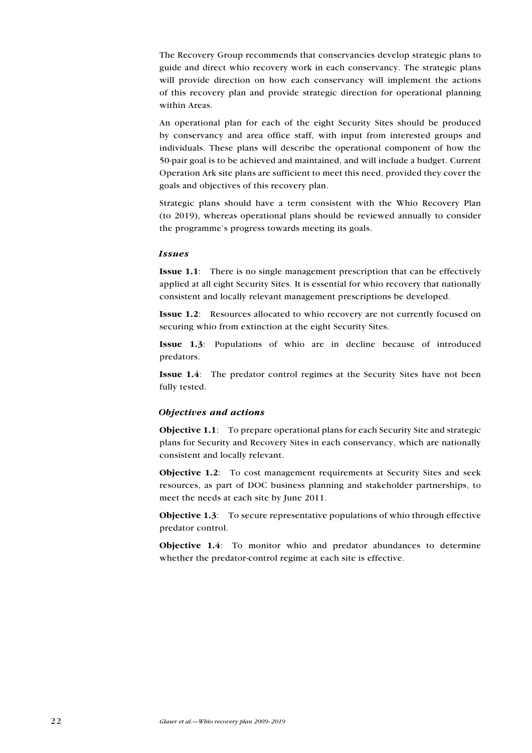The Recovery Group recommends that conservancies develop strategic plans to guide and direct whio recovery work in each conservancy. The strategic plans will provide direction on how each conservancy will implement the actions of this recovery plan and provide strategic direction for operational planning within Areas.

An operational plan for each of the eight Security Sites should be produced by conservancy and area office staff, with input from interested groups and individuals. These plans will describe the operational component of how the 50-pair goal is to be achieved and maintained, and will include a budget. Current Operation Ark site plans are sufficient to meet this need, provided they cover the goals and objectives of this recovery plan.

Strategic plans should have a term consistent with the Whio Recovery Plan (to 2019), whereas operational plans should be reviewed annually to consider the programme's progress towards meeting its goals.

#### Issues

Issue 1.1: There is no single management prescription that can be effectively applied at all eight Security Sites. It is essential for whio recovery that nationally consistent and locally relevant management prescriptions be developed.

Issue 1.2: Resources allocated to whio recovery are not currently focused on securing whio from extinction at the eight Security Sites.

Issue 1.3: Populations of whio are in decline because of introduced predators.

Issue 1.4: The predator control regimes at the Security Sites have not been fully tested.

#### Objectives and actions

Objective 1.1: To prepare operational plans for each Security Site and strategic plans for Security and Recovery Sites in each conservancy, which are nationally consistent and locally relevant.

Objective 1.2: To cost management requirements at Security Sites and seek resources, as part of DOC business planning and stakeholder partnerships, to meet the needs at each site by June 2011.

Objective 1.3: To secure representative populations of whio through effective predator control.

Objective 1.4: To monitor whio and predator abundances to determine whether the predator-control regime at each site is effective.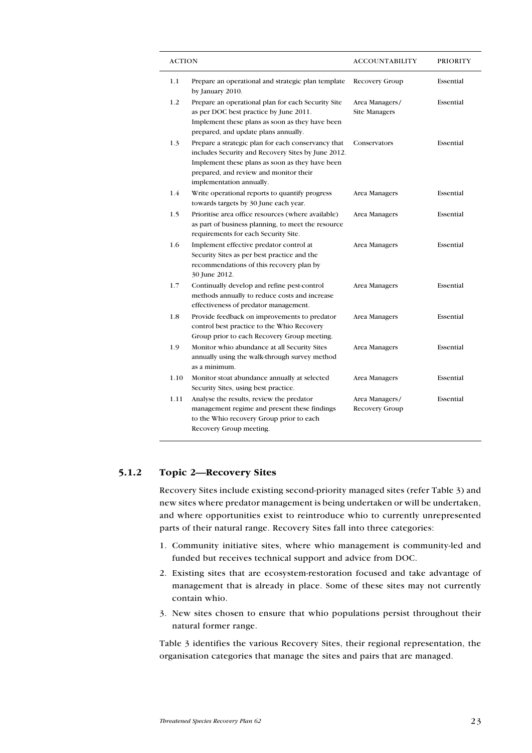| ACTION |                                                                                                                                                                                                                                   | ACCOUNTABILITY                         | <b>PRIORITY</b> |
|--------|-----------------------------------------------------------------------------------------------------------------------------------------------------------------------------------------------------------------------------------|----------------------------------------|-----------------|
| 1.1    | Prepare an operational and strategic plan template<br>by January 2010.                                                                                                                                                            | Recovery Group                         | Essential       |
| 1.2    | Prepare an operational plan for each Security Site<br>as per DOC best practice by June 2011.<br>Implement these plans as soon as they have been<br>prepared, and update plans annually.                                           | Area Managers/<br><b>Site Managers</b> | Essential       |
| 1.3    | Prepare a strategic plan for each conservancy that<br>includes Security and Recovery Sites by June 2012.<br>Implement these plans as soon as they have been<br>prepared, and review and monitor their<br>implementation annually. | Conservators                           | Essential       |
| 1.4    | Write operational reports to quantify progress<br>towards targets by 30 June each year.                                                                                                                                           | Area Managers                          | Essential       |
| 1.5    | Prioritise area office resources (where available)<br>as part of business planning, to meet the resource<br>requirements for each Security Site.                                                                                  | Area Managers                          | Essential       |
| 1.6    | Implement effective predator control at<br>Security Sites as per best practice and the<br>recommendations of this recovery plan by<br>30 June 2012.                                                                               | Area Managers                          | Essential       |
| 1.7    | Continually develop and refine pest-control<br>methods annually to reduce costs and increase<br>effectiveness of predator management.                                                                                             | Area Managers                          | Essential       |
| 1.8    | Provide feedback on improvements to predator<br>control best practice to the Whio Recovery<br>Group prior to each Recovery Group meeting.                                                                                         | Area Managers                          | Essential       |
| 1.9    | Monitor whio abundance at all Security Sites<br>annually using the walk-through survey method<br>as a minimum.                                                                                                                    | Area Managers                          | Essential       |
| 1.10   | Monitor stoat abundance annually at selected<br>Security Sites, using best practice.                                                                                                                                              | Area Managers                          | Essential       |
| 1.11   | Analyse the results, review the predator<br>management regime and present these findings<br>to the Whio recovery Group prior to each<br>Recovery Group meeting.                                                                   | Area Managers/<br>Recovery Group       | Essential       |

## 5.1.2 Topic 2—Recovery Sites

Recovery Sites include existing second-priority managed sites (refer Table 3) and new sites where predator management is being undertaken or will be undertaken, and where opportunities exist to reintroduce whio to currently unrepresented parts of their natural range. Recovery Sites fall into three categories:

- 1. Community initiative sites, where whio management is community-led and funded but receives technical support and advice from DOC.
- 2. Existing sites that are ecosystem-restoration focused and take advantage of management that is already in place. Some of these sites may not currently contain whio.
- 3. New sites chosen to ensure that whio populations persist throughout their natural former range.

Table 3 identifies the various Recovery Sites, their regional representation, the organisation categories that manage the sites and pairs that are managed.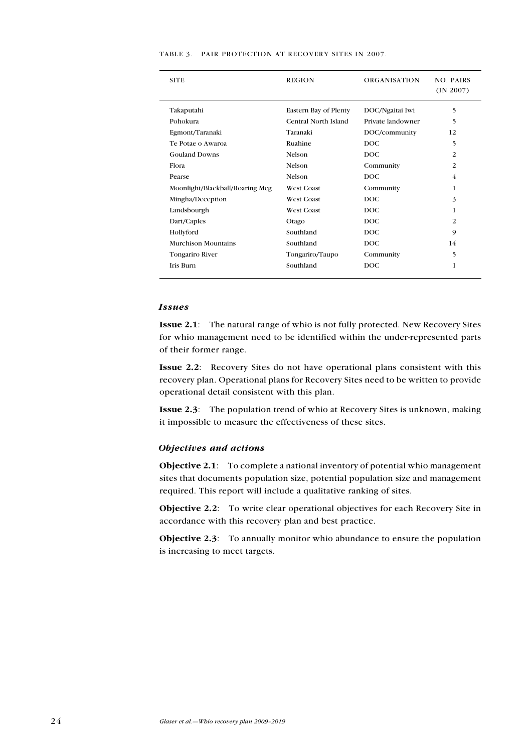| <b>SITE</b>                     | <b>REGION</b>         | <b>ORGANISATION</b> | <b>NO. PAIRS</b><br>(IN 2007) |
|---------------------------------|-----------------------|---------------------|-------------------------------|
|                                 |                       |                     |                               |
| Takaputahi                      | Eastern Bay of Plenty | DOC/Ngaitai Iwi     | 5                             |
| Pohokura                        | Central North Island  | Private landowner   | 5                             |
| Egmont/Taranaki                 | Taranaki              | DOC/community       | 12                            |
| Te Potae o Awaroa               | Ruahine               | <b>DOC</b>          | 5                             |
| <b>Gouland Downs</b>            | Nelson                | <b>DOC</b>          | 2                             |
| Flora                           | Nelson                | Community           | 2                             |
| Pearse                          | Nelson                | <b>DOC</b>          | 4                             |
| Moonlight/Blackball/Roaring Meg | <b>West Coast</b>     | Community           | 1                             |
| Mingha/Deception                | <b>West Coast</b>     | <b>DOC</b>          | 3                             |
| Landsbourgh                     | <b>West Coast</b>     | <b>DOC</b>          | 1                             |
| Dart/Caples                     | Otago                 | DOC.                | $\overline{c}$                |
| Hollyford                       | Southland             | <b>DOC</b>          | 9                             |
| Murchison Mountains             | Southland             | <b>DOC</b>          | 14                            |
| Tongariro River                 | Tongariro/Taupo       | Community           | 5                             |
| <b>Iris Burn</b>                | Southland             | DOC.                | 1                             |

#### Table 3. Pair protection at Recovery Sites in 2007.

#### Issues

Issue 2.1: The natural range of whio is not fully protected. New Recovery Sites for whio management need to be identified within the under-represented parts of their former range.

Issue 2.2: Recovery Sites do not have operational plans consistent with this recovery plan. Operational plans for Recovery Sites need to be written to provide operational detail consistent with this plan.

Issue 2.3: The population trend of whio at Recovery Sites is unknown, making it impossible to measure the effectiveness of these sites.

#### Objectives and actions

Objective 2.1: To complete a national inventory of potential whio management sites that documents population size, potential population size and management required. This report will include a qualitative ranking of sites.

Objective 2.2: To write clear operational objectives for each Recovery Site in accordance with this recovery plan and best practice.

Objective 2.3: To annually monitor whio abundance to ensure the population is increasing to meet targets.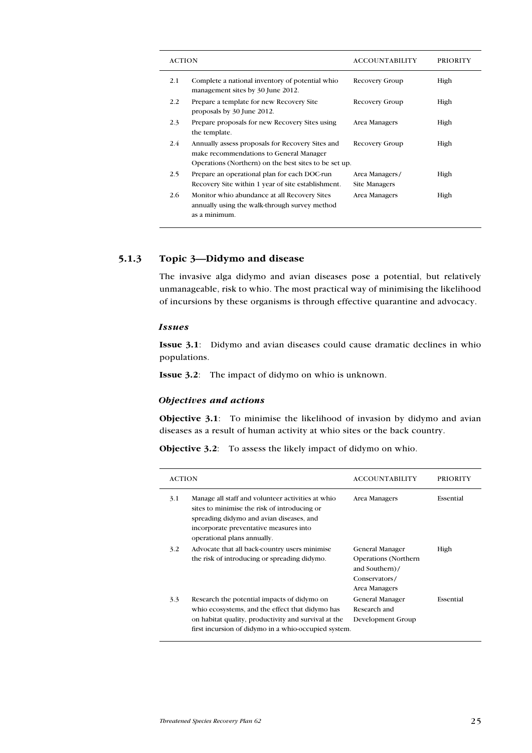| <b>ACTION</b> |                                                                                                                                                      | <b>ACCOUNTABILITY</b>           | <b>PRIORITY</b> |
|---------------|------------------------------------------------------------------------------------------------------------------------------------------------------|---------------------------------|-----------------|
| 2.1           | Complete a national inventory of potential whio<br>management sites by 30 June 2012.                                                                 | Recovery Group                  | High            |
| 2.2           | Prepare a template for new Recovery Site<br>proposals by 30 June 2012.                                                                               | Recovery Group                  | High            |
| 2.3           | Prepare proposals for new Recovery Sites using<br>the template.                                                                                      | Area Managers                   | High            |
| 2.4           | Annually assess proposals for Recovery Sites and<br>make recommendations to General Manager<br>Operations (Northern) on the best sites to be set up. | Recovery Group                  | High            |
| 2.5           | Prepare an operational plan for each DOC-run<br>Recovery Site within 1 year of site establishment.                                                   | Area Managers/<br>Site Managers | High            |
| 2.6           | Monitor whio abundance at all Recovery Sites<br>annually using the walk-through survey method<br>as a minimum.                                       | Area Managers                   | High            |

## 5.1.3 Topic 3—Didymo and disease

The invasive alga didymo and avian diseases pose a potential, but relatively unmanageable, risk to whio. The most practical way of minimising the likelihood of incursions by these organisms is through effective quarantine and advocacy.

#### Issues

Issue 3.1: Didymo and avian diseases could cause dramatic declines in whio populations.

Issue 3.2: The impact of didymo on whio is unknown.

#### Objectives and actions

Objective 3.1: To minimise the likelihood of invasion by didymo and avian diseases as a result of human activity at whio sites or the back country.

Objective 3.2: To assess the likely impact of didymo on whio.

| <b>ACTION</b> |                                                                                                                                                                                                                        | <b>ACCOUNTABILITY</b>                                                                              | <b>PRIORITY</b> |
|---------------|------------------------------------------------------------------------------------------------------------------------------------------------------------------------------------------------------------------------|----------------------------------------------------------------------------------------------------|-----------------|
| 3.1           | Manage all staff and volunteer activities at whio<br>sites to minimise the risk of introducing or<br>spreading didymo and avian diseases, and<br>incorporate preventative measures into<br>operational plans annually. | Area Managers                                                                                      | Essential       |
| 3.2           | Advocate that all back-country users minimise<br>the risk of introducing or spreading didymo.                                                                                                                          | General Manager<br><b>Operations</b> (Northern<br>and Southern)/<br>Conservators/<br>Area Managers | High            |
| 3.3           | Research the potential impacts of didymo on<br>whio ecosystems, and the effect that didymo has<br>on habitat quality, productivity and survival at the<br>first incursion of didymo in a whio-occupied system.         | General Manager<br>Research and<br>Development Group                                               | Essential       |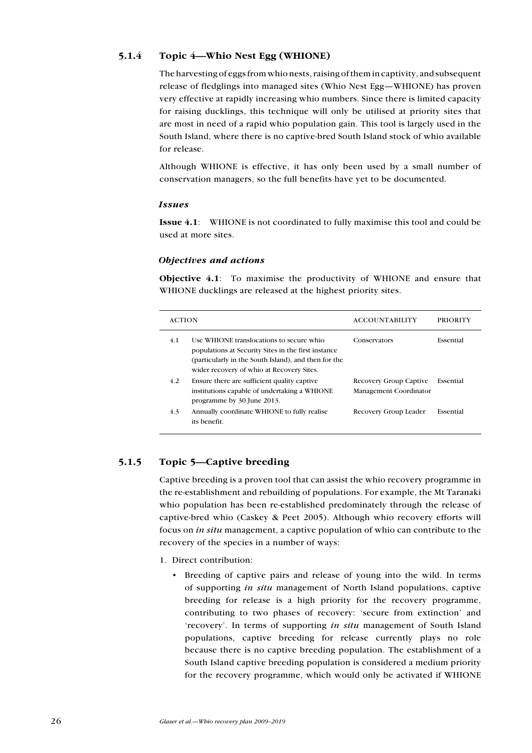## 5.1.4 Topic 4—Whio Nest Egg (WHIONE)

The harvesting of eggs from whio nests, raising of them in captivity, and subsequent release of fledglings into managed sites (Whio Nest Egg—WHIONE) has proven very effective at rapidly increasing whio numbers. Since there is limited capacity for raising ducklings, this technique will only be utilised at priority sites that are most in need of a rapid whio population gain. This tool is largely used in the South Island, where there is no captive-bred South Island stock of whio available for release.

Although WHIONE is effective, it has only been used by a small number of conservation managers, so the full benefits have yet to be documented.

#### Issues

Issue 4.1: WHIONE is not coordinated to fully maximise this tool and could be used at more sites.

## Objectives and actions

Objective 4.1: To maximise the productivity of WHIONE and ensure that WHIONE ducklings are released at the highest priority sites.

| <b>ACTION</b> |                                                                                                                                                                                                      | <b>ACCOUNTABILITY</b>                            | <b>PRIORITY</b> |
|---------------|------------------------------------------------------------------------------------------------------------------------------------------------------------------------------------------------------|--------------------------------------------------|-----------------|
| 4.1           | Use WHIONE translocations to secure whio<br>populations at Security Sites in the first instance<br>(particularly in the South Island), and then for the<br>wider recovery of whio at Recovery Sites. | Conservators                                     | Essential       |
| 4.2           | Ensure there are sufficient quality captive<br>institutions capable of undertaking a WHIONE<br>programme by 30 June 2013.                                                                            | Recovery Group Captive<br>Management Coordinator | Essential       |
| 4.3           | Annually coordinate WHIONE to fully realise<br>its benefit.                                                                                                                                          | Recovery Group Leader                            | Essential       |

## 5.1.5 Topic 5—Captive breeding

Captive breeding is a proven tool that can assist the whio recovery programme in the re-establishment and rebuilding of populations. For example, the Mt Taranaki whio population has been re-established predominately through the release of captive-bred whio (Caskey & Peet 2005). Although whio recovery efforts will focus on in situ management, a captive population of whio can contribute to the recovery of the species in a number of ways:

- 1. Direct contribution:
	- • Breeding of captive pairs and release of young into the wild. In terms of supporting in situ management of North Island populations, captive breeding for release is a high priority for the recovery programme, contributing to two phases of recovery: 'secure from extinction' and 'recovery'. In terms of supporting in situ management of South Island populations, captive breeding for release currently plays no role because there is no captive breeding population. The establishment of a South Island captive breeding population is considered a medium priority for the recovery programme, which would only be activated if WHIONE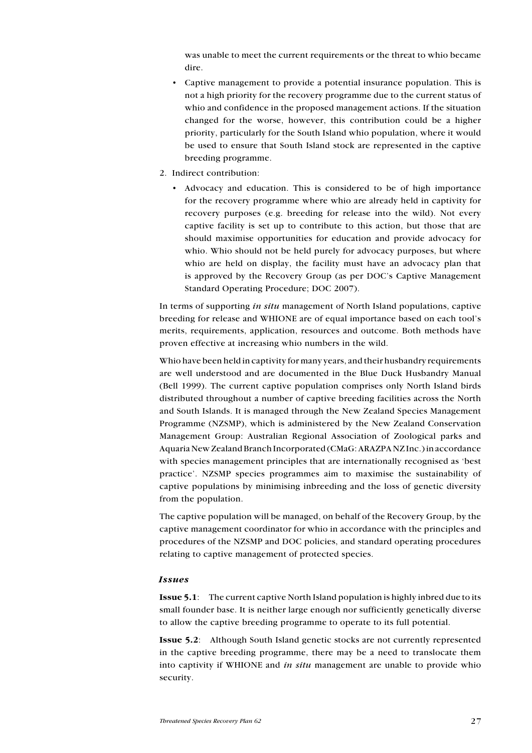was unable to meet the current requirements or the threat to whio became dire.

- Captive management to provide a potential insurance population. This is not a high priority for the recovery programme due to the current status of whio and confidence in the proposed management actions. If the situation changed for the worse, however, this contribution could be a higher priority, particularly for the South Island whio population, where it would be used to ensure that South Island stock are represented in the captive breeding programme.
- 2. Indirect contribution:
	- • Advocacy and education. This is considered to be of high importance for the recovery programme where whio are already held in captivity for recovery purposes (e.g. breeding for release into the wild). Not every captive facility is set up to contribute to this action, but those that are should maximise opportunities for education and provide advocacy for whio. Whio should not be held purely for advocacy purposes, but where whio are held on display, the facility must have an advocacy plan that is approved by the Recovery Group (as per DOC's Captive Management Standard Operating Procedure; DOC 2007).

In terms of supporting in situ management of North Island populations, captive breeding for release and WHIONE are of equal importance based on each tool's merits, requirements, application, resources and outcome. Both methods have proven effective at increasing whio numbers in the wild.

Whio have been held in captivity for many years, and their husbandry requirements are well understood and are documented in the Blue Duck Husbandry Manual (Bell 1999). The current captive population comprises only North Island birds distributed throughout a number of captive breeding facilities across the North and South Islands. It is managed through the New Zealand Species Management Programme (NZSMP), which is administered by the New Zealand Conservation Management Group: Australian Regional Association of Zoological parks and Aquaria New Zealand Branch Incorporated (CMaG: ARAZPA NZ Inc.) in accordance with species management principles that are internationally recognised as 'best practice'. NZSMP species programmes aim to maximise the sustainability of captive populations by minimising inbreeding and the loss of genetic diversity from the population.

The captive population will be managed, on behalf of the Recovery Group, by the captive management coordinator for whio in accordance with the principles and procedures of the NZSMP and DOC policies, and standard operating procedures relating to captive management of protected species.

#### Issues

Issue 5.1: The current captive North Island population is highly inbred due to its small founder base. It is neither large enough nor sufficiently genetically diverse to allow the captive breeding programme to operate to its full potential.

Issue 5.2: Although South Island genetic stocks are not currently represented in the captive breeding programme, there may be a need to translocate them into captivity if WHIONE and in situ management are unable to provide whio security.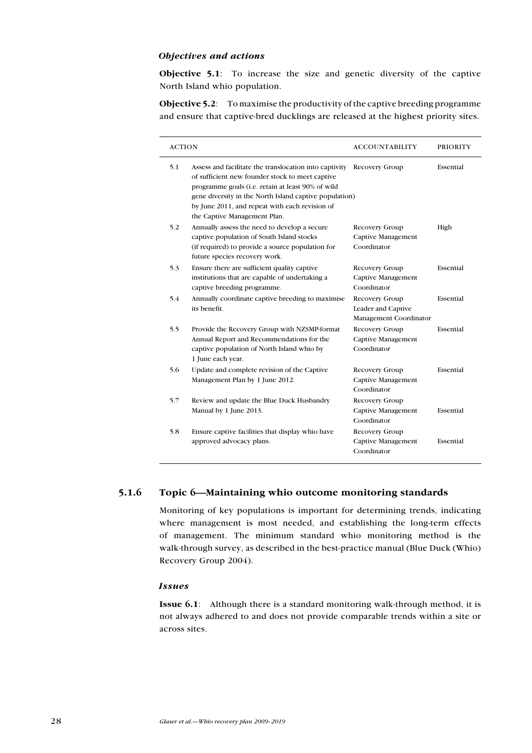#### Objectives and actions

Objective 5.1: To increase the size and genetic diversity of the captive North Island whio population.

Objective 5.2: To maximise the productivity of the captive breeding programme and ensure that captive-bred ducklings are released at the highest priority sites.

| <b>ACTION</b> |                                                                                                                                                                                                                                                                                                            | <b>ACCOUNTABILITY</b>                                          | <b>PRIORITY</b> |
|---------------|------------------------------------------------------------------------------------------------------------------------------------------------------------------------------------------------------------------------------------------------------------------------------------------------------------|----------------------------------------------------------------|-----------------|
| 5.1           | Assess and facilitate the translocation into captivity<br>of sufficient new founder stock to meet captive<br>programme goals (i.e. retain at least 90% of wild<br>gene diversity in the North Island captive population)<br>by June 2011, and repeat with each revision of<br>the Captive Management Plan. | Recovery Group                                                 | Essential       |
| 5.2           | Annually assess the need to develop a secure<br>captive population of South Island stocks<br>(if required) to provide a source population for<br>future species recovery work.                                                                                                                             | Recovery Group<br>Captive Management<br>Coordinator            | High            |
| 5.3           | Ensure there are sufficient quality captive<br>institutions that are capable of undertaking a<br>captive breeding programme.                                                                                                                                                                               | Recovery Group<br>Captive Management<br>Coordinator            | Essential       |
| 5.4           | Annually coordinate captive breeding to maximise<br>its benefit.                                                                                                                                                                                                                                           | Recovery Group<br>Leader and Captive<br>Management Coordinator | Essential       |
| 5.5           | Provide the Recovery Group with NZSMP-format<br>Annual Report and Recommendations for the<br>captive population of North Island whio by<br>1 June each year.                                                                                                                                               | Recovery Group<br>Captive Management<br>Coordinator            | Essential       |
| 5.6           | Update and complete revision of the Captive<br>Management Plan by 1 June 2012.                                                                                                                                                                                                                             | Recovery Group<br>Captive Management<br>Coordinator            | Essential       |
| 5.7           | Review and update the Blue Duck Husbandry<br>Manual by 1 June 2013.                                                                                                                                                                                                                                        | Recovery Group<br><b>Captive Management</b><br>Coordinator     | Essential       |
| 5.8           | Ensure captive facilities that display whio have<br>approved advocacy plans.                                                                                                                                                                                                                               | Recovery Group<br>Captive Management<br>Coordinator            | Essential       |

#### 5.1.6 Topic 6—Maintaining whio outcome monitoring standards

Monitoring of key populations is important for determining trends, indicating where management is most needed, and establishing the long-term effects of management. The minimum standard whio monitoring method is the walk-through survey, as described in the best-practice manual (Blue Duck (Whio) Recovery Group 2004).

#### Issues

Issue 6.1: Although there is a standard monitoring walk-through method, it is not always adhered to and does not provide comparable trends within a site or across sites.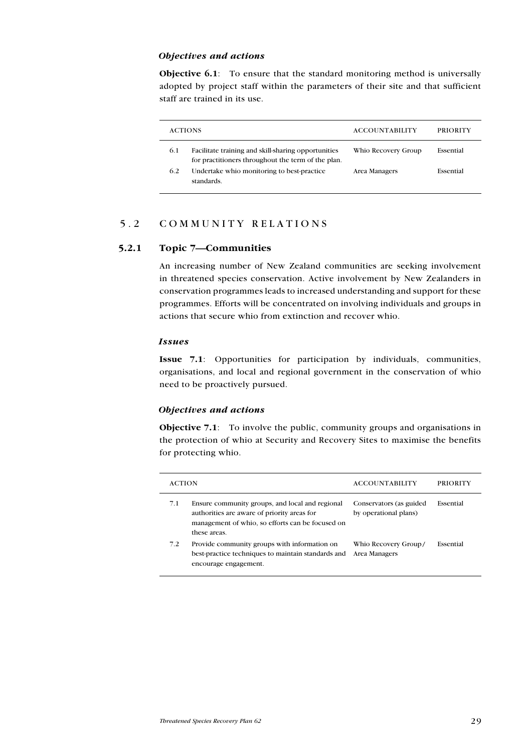#### Objectives and actions

**Objective 6.1**: To ensure that the standard monitoring method is universally adopted by project staff within the parameters of their site and that sufficient staff are trained in its use.

|     | <b>ACTIONS</b>                                                                                            | <b>ACCOUNTABILITY</b> | <b>PRIORITY</b> |
|-----|-----------------------------------------------------------------------------------------------------------|-----------------------|-----------------|
| 6.1 | Facilitate training and skill-sharing opportunities<br>for practitioners throughout the term of the plan. | Whio Recovery Group   | Essential       |
| 6.2 | Undertake whio monitoring to best-practice<br>standards.                                                  | Area Managers         | Essential       |

## 5.2 C ommunity relations

#### 5.2.1 Topic 7—Communities

An increasing number of New Zealand communities are seeking involvement in threatened species conservation. Active involvement by New Zealanders in conservation programmes leads to increased understanding and support for these programmes. Efforts will be concentrated on involving individuals and groups in actions that secure whio from extinction and recover whio.

#### Issues

Issue 7.1: Opportunities for participation by individuals, communities, organisations, and local and regional government in the conservation of whio need to be proactively pursued.

#### Objectives and actions

Objective 7.1: To involve the public, community groups and organisations in the protection of whio at Security and Recovery Sites to maximise the benefits for protecting whio.

| <b>ACTION</b> |                                                                                                                                                                    | <b>ACCOUNTABILITY</b>                            | PRIORITY  |  |  |
|---------------|--------------------------------------------------------------------------------------------------------------------------------------------------------------------|--------------------------------------------------|-----------|--|--|
| 7.1           | Ensure community groups, and local and regional<br>authorities are aware of priority areas for<br>management of whio, so efforts can be focused on<br>these areas. | Conservators (as guided<br>by operational plans) | Essential |  |  |
| 7.2           | Provide community groups with information on<br>best-practice techniques to maintain standards and<br>encourage engagement.                                        | Whio Recovery Group/<br>Area Managers            | Essential |  |  |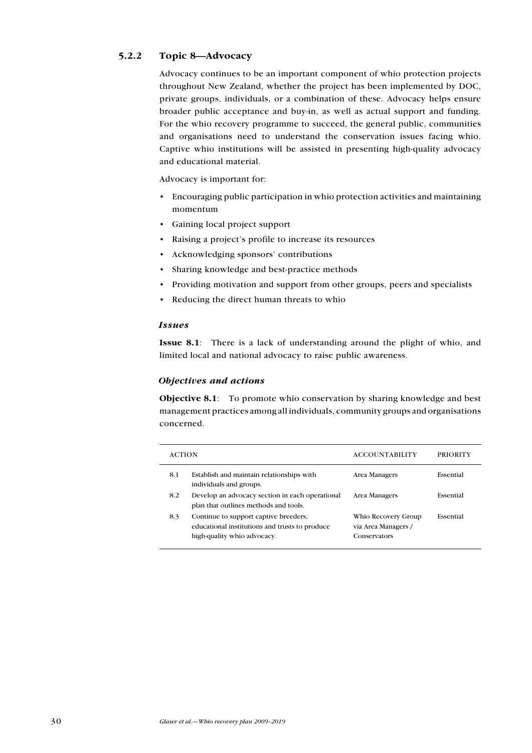## 5.2.2 Topic 8—Advocacy

Advocacy continues to be an important component of whio protection projects throughout New Zealand, whether the project has been implemented by DOC, private groups, individuals, or a combination of these. Advocacy helps ensure broader public acceptance and buy-in, as well as actual support and funding. For the whio recovery programme to succeed, the general public, communities and organisations need to understand the conservation issues facing whio. Captive whio institutions will be assisted in presenting high-quality advocacy and educational material.

Advocacy is important for:

- • Encouraging public participation in whio protection activities and maintaining momentum
- • Gaining local project support
- Raising a project's profile to increase its resources
- • Acknowledging sponsors' contributions
- Sharing knowledge and best-practice methods
- • Providing motivation and support from other groups, peers and specialists
- Reducing the direct human threats to whio

#### Issues

Issue 8.1: There is a lack of understanding around the plight of whio, and limited local and national advocacy to raise public awareness.

#### Objectives and actions

Objective 8.1: To promote whio conservation by sharing knowledge and best management practices among all individuals, community groups and organisations concerned.

| <b>ACTION</b> |                                                                                                                        | <b>ACCOUNTABILITY</b>                                      | PRIORITY  |
|---------------|------------------------------------------------------------------------------------------------------------------------|------------------------------------------------------------|-----------|
| 8.1           | Establish and maintain relationships with<br>individuals and groups.                                                   | Area Managers                                              | Essential |
| 8.2           | Develop an advocacy section in each operational<br>plan that outlines methods and tools.                               | Area Managers                                              | Essential |
| 8.3           | Continue to support captive breeders,<br>educational institutions and trusts to produce<br>high-quality whio advocacy. | Whio Recovery Group<br>via Area Managers /<br>Conservators | Essential |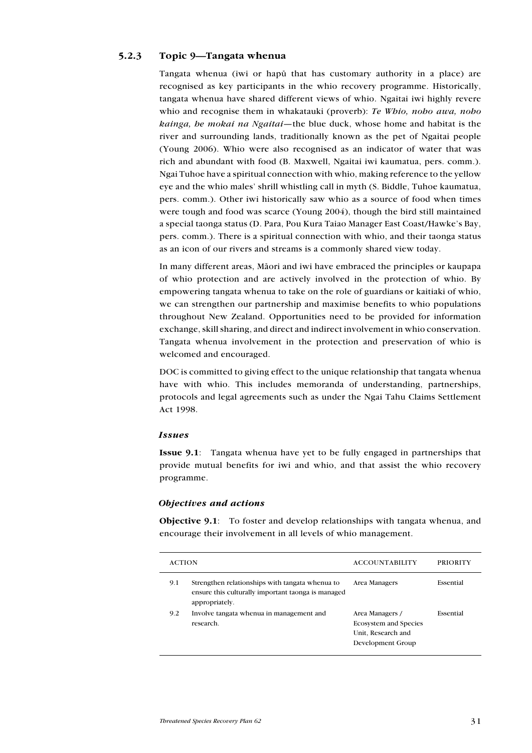## 5.2.3 Topic 9—Tangata whenua

Tangata whenua (iwi or hapü that has customary authority in a place) are recognised as key participants in the whio recovery programme. Historically, tangata whenua have shared different views of whio. Ngaitai iwi highly revere whio and recognise them in whakatauki (proverb): Te Whio, noho awa, noho kainga, he mokai na Ngaitai—the blue duck, whose home and habitat is the river and surrounding lands, traditionally known as the pet of Ngaitai people (Young 2006). Whio were also recognised as an indicator of water that was rich and abundant with food (B. Maxwell, Ngaitai iwi kaumatua, pers. comm.). Ngai Tuhoe have a spiritual connection with whio, making reference to the yellow eye and the whio males' shrill whistling call in myth (S. Biddle, Tuhoe kaumatua, pers. comm.). Other iwi historically saw whio as a source of food when times were tough and food was scarce (Young 2004), though the bird still maintained a special taonga status (D. Para, Pou Kura Taiao Manager East Coast/Hawke's Bay, pers. comm.). There is a spiritual connection with whio, and their taonga status as an icon of our rivers and streams is a commonly shared view today.

In many different areas, Mäori and iwi have embraced the principles or kaupapa of whio protection and are actively involved in the protection of whio. By empowering tangata whenua to take on the role of guardians or kaitiaki of whio, we can strengthen our partnership and maximise benefits to whio populations throughout New Zealand. Opportunities need to be provided for information exchange, skill sharing, and direct and indirect involvement in whio conservation. Tangata whenua involvement in the protection and preservation of whio is welcomed and encouraged.

DOC is committed to giving effect to the unique relationship that tangata whenua have with whio. This includes memoranda of understanding, partnerships, protocols and legal agreements such as under the Ngai Tahu Claims Settlement Act 1998.

#### Issues

Issue 9.1: Tangata whenua have yet to be fully engaged in partnerships that provide mutual benefits for iwi and whio, and that assist the whio recovery programme.

#### Objectives and actions

Objective 9.1: To foster and develop relationships with tangata whenua, and encourage their involvement in all levels of whio management.

| <b>ACTION</b> |                                                                                                                          | <b>ACCOUNTABILITY</b>                                                                      | PRIORITY  |
|---------------|--------------------------------------------------------------------------------------------------------------------------|--------------------------------------------------------------------------------------------|-----------|
| 9.1           | Strengthen relationships with tangata when ua to<br>ensure this culturally important taonga is managed<br>appropriately. | Area Managers                                                                              | Essential |
| 9.2           | Involve tangata whenua in management and<br>research.                                                                    | Area Managers /<br><b>Ecosystem and Species</b><br>Unit, Research and<br>Development Group | Essential |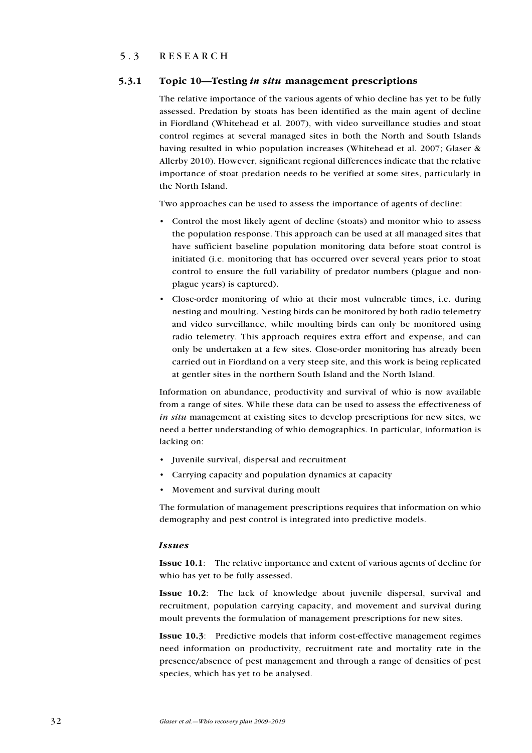## 5.3 RESEARCH

### 5.3.1 Topic 10—Testing in situ management prescriptions

The relative importance of the various agents of whio decline has yet to be fully assessed. Predation by stoats has been identified as the main agent of decline in Fiordland (Whitehead et al. 2007), with video surveillance studies and stoat control regimes at several managed sites in both the North and South Islands having resulted in whio population increases (Whitehead et al. 2007; Glaser & Allerby 2010). However, significant regional differences indicate that the relative importance of stoat predation needs to be verified at some sites, particularly in the North Island.

Two approaches can be used to assess the importance of agents of decline:

- • Control the most likely agent of decline (stoats) and monitor whio to assess the population response. This approach can be used at all managed sites that have sufficient baseline population monitoring data before stoat control is initiated (i.e. monitoring that has occurred over several years prior to stoat control to ensure the full variability of predator numbers (plague and nonplague years) is captured).
- Close-order monitoring of whio at their most vulnerable times, *i.e.* during nesting and moulting. Nesting birds can be monitored by both radio telemetry and video surveillance, while moulting birds can only be monitored using radio telemetry. This approach requires extra effort and expense, and can only be undertaken at a few sites. Close-order monitoring has already been carried out in Fiordland on a very steep site, and this work is being replicated at gentler sites in the northern South Island and the North Island.

Information on abundance, productivity and survival of whio is now available from a range of sites. While these data can be used to assess the effectiveness of in situ management at existing sites to develop prescriptions for new sites, we need a better understanding of whio demographics. In particular, information is lacking on:

- • Juvenile survival, dispersal and recruitment
- Carrying capacity and population dynamics at capacity
- Movement and survival during moult

The formulation of management prescriptions requires that information on whio demography and pest control is integrated into predictive models.

#### Issues

Issue 10.1: The relative importance and extent of various agents of decline for whio has yet to be fully assessed.

Issue 10.2: The lack of knowledge about juvenile dispersal, survival and recruitment, population carrying capacity, and movement and survival during moult prevents the formulation of management prescriptions for new sites.

Issue 10.3: Predictive models that inform cost-effective management regimes need information on productivity, recruitment rate and mortality rate in the presence/absence of pest management and through a range of densities of pest species, which has yet to be analysed.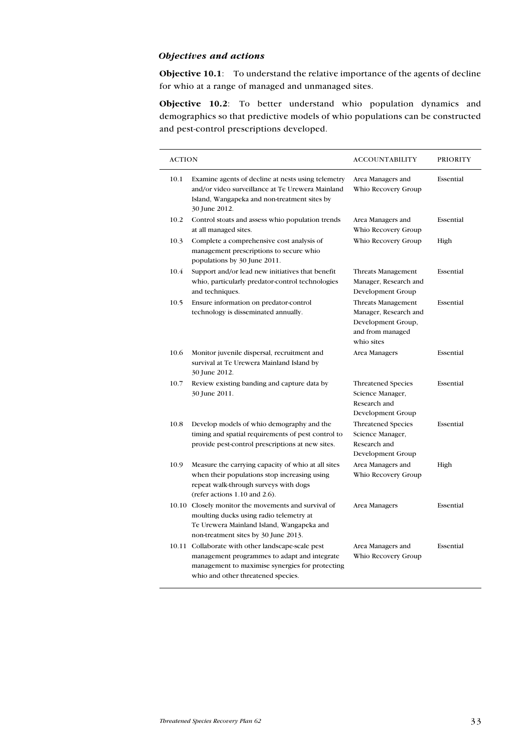## Objectives and actions

Objective 10.1: To understand the relative importance of the agents of decline for whio at a range of managed and unmanaged sites.

Objective 10.2: To better understand whio population dynamics and demographics so that predictive models of whio populations can be constructed and pest-control prescriptions developed.

| <b>ACTION</b> |                                                                                                                                                                                            | ACCOUNTABILITY                                                                                      | <b>PRIORITY</b> |
|---------------|--------------------------------------------------------------------------------------------------------------------------------------------------------------------------------------------|-----------------------------------------------------------------------------------------------------|-----------------|
| 10.1          | Examine agents of decline at nests using telemetry<br>and/or video surveillance at Te Urewera Mainland<br>Island, Wangapeka and non-treatment sites by<br>30 June 2012.                    | Area Managers and<br>Whio Recovery Group                                                            | Essential       |
| 10.2          | Control stoats and assess whio population trends<br>at all managed sites.                                                                                                                  | Area Managers and<br>Whio Recovery Group                                                            | Essential       |
| 10.3          | Complete a comprehensive cost analysis of<br>management prescriptions to secure whio<br>populations by 30 June 2011.                                                                       | Whio Recovery Group                                                                                 | High            |
| 10.4          | Support and/or lead new initiatives that benefit<br>whio, particularly predator-control technologies<br>and techniques.                                                                    | Threats Management<br>Manager, Research and<br>Development Group                                    | Essential       |
| 10.5          | Ensure information on predator-control<br>technology is disseminated annually.                                                                                                             | Threats Management<br>Manager, Research and<br>Development Group,<br>and from managed<br>whio sites | Essential       |
| 10.6          | Monitor juvenile dispersal, recruitment and<br>survival at Te Urewera Mainland Island by<br>30 June 2012.                                                                                  | Area Managers                                                                                       | Essential       |
| 10.7          | Review existing banding and capture data by<br>30 June 2011.                                                                                                                               | <b>Threatened Species</b><br>Science Manager,<br>Research and<br>Development Group                  | Essential       |
| 10.8          | Develop models of whio demography and the<br>timing and spatial requirements of pest control to<br>provide pest-control prescriptions at new sites.                                        | <b>Threatened Species</b><br>Science Manager,<br>Research and<br>Development Group                  | Essential       |
| 10.9          | Measure the carrying capacity of whio at all sites<br>when their populations stop increasing using<br>repeat walk-through surveys with dogs<br>(refer actions $1.10$ and $2.6$ ).          | Area Managers and<br>Whio Recovery Group                                                            | High            |
|               | 10.10 Closely monitor the movements and survival of<br>moulting ducks using radio telemetry at<br>Te Urewera Mainland Island, Wangapeka and<br>non-treatment sites by 30 June 2013.        | Area Managers                                                                                       | Essential       |
|               | 10.11 Collaborate with other landscape-scale pest<br>management programmes to adapt and integrate<br>management to maximise synergies for protecting<br>whio and other threatened species. | Area Managers and<br>Whio Recovery Group                                                            | Essential       |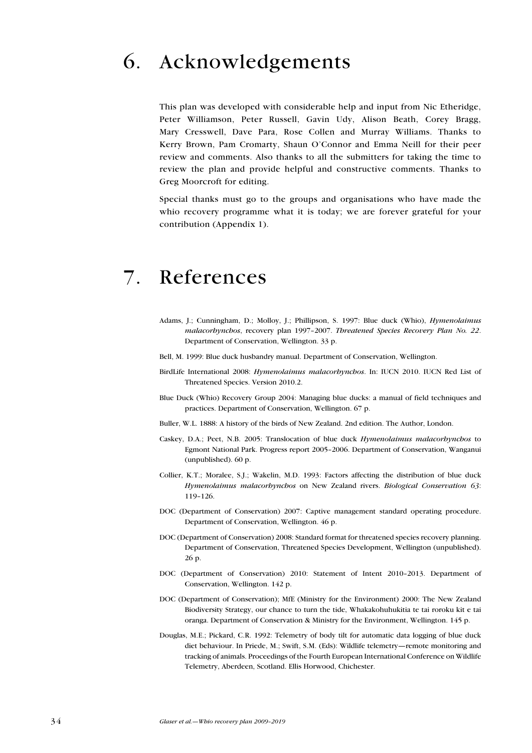# 6. Acknowledgements

This plan was developed with considerable help and input from Nic Etheridge, Peter Williamson, Peter Russell, Gavin Udy, Alison Beath, Corey Bragg, Mary Cresswell, Dave Para, Rose Collen and Murray Williams. Thanks to Kerry Brown, Pam Cromarty, Shaun O'Connor and Emma Neill for their peer review and comments. Also thanks to all the submitters for taking the time to review the plan and provide helpful and constructive comments. Thanks to Greg Moorcroft for editing.

Special thanks must go to the groups and organisations who have made the whio recovery programme what it is today; we are forever grateful for your contribution (Appendix 1).

## 7. References

- Adams, J.; Cunningham, D.; Molloy, J.; Phillipson, S. 1997: Blue duck (Whio), Hymenolaimus malacorhynchos, recovery plan 1997-2007. Threatened Species Recovery Plan No. 22. Department of Conservation, Wellington. 33 p.
- Bell, M. 1999: Blue duck husbandry manual. Department of Conservation, Wellington.
- BirdLife International 2008: *Hymenolaimus malacorhynchos*. In: IUCN 2010. IUCN Red List of Threatened Species. Version 2010.2.
- Blue Duck (Whio) Recovery Group 2004: Managing blue ducks: a manual of field techniques and practices. Department of Conservation, Wellington. 67 p.
- Buller, W.L. 1888: A history of the birds of New Zealand. 2nd edition. The Author, London.
- Caskey, D.A.; Peet, N.B. 2005: Translocation of blue duck *Hymenolaimus malacorhynchos* to Egmont National Park. Progress report 2005–2006. Department of Conservation, Wanganui (unpublished). 60 p.
- Collier, K.T.; Moralee, S.J.; Wakelin, M.D. 1993: Factors affecting the distribution of blue duck Hymenolaimus malacorbynchos on New Zealand rivers. Biological Conservation 63: 119–126.
- DOC (Department of Conservation) 2007: Captive management standard operating procedure. Department of Conservation, Wellington. 46 p.
- DOC (Department of Conservation) 2008: Standard format for threatened species recovery planning. Department of Conservation, Threatened Species Development, Wellington (unpublished). 26 p.
- DOC (Department of Conservation) 2010: Statement of Intent 2010–2013. Department of Conservation, Wellington. 142 p.
- DOC (Department of Conservation); MfE (Ministry for the Environment) 2000: The New Zealand Biodiversity Strategy, our chance to turn the tide, Whakakohuhukitia te tai roroku kit e tai oranga. Department of Conservation & Ministry for the Environment, Wellington. 145 p.
- Douglas, M.E.; Pickard, C.R. 1992: Telemetry of body tilt for automatic data logging of blue duck diet behaviour. In Priede, M.; Swift, S.M. (Eds): Wildlife telemetry—remote monitoring and tracking of animals. Proceedings of the Fourth European International Conference on Wildlife Telemetry, Aberdeen, Scotland. Ellis Horwood, Chichester.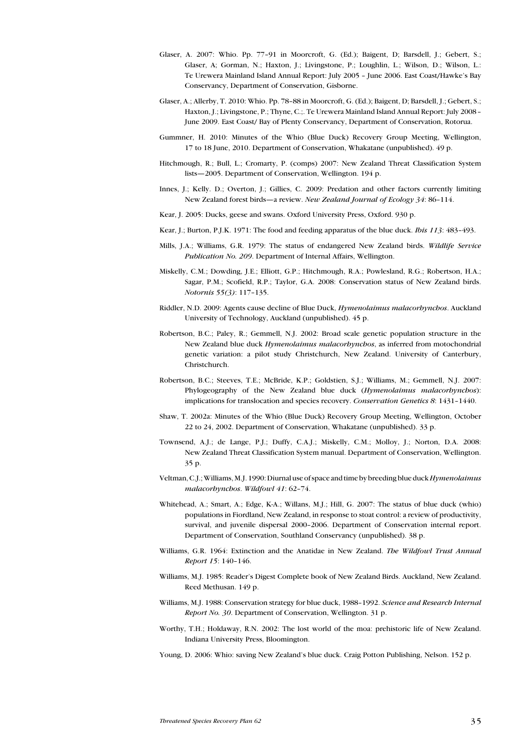- Glaser, A. 2007: Whio. Pp. 77–91 in Moorcroft, G. (Ed.); Baigent, D; Barsdell, J.; Gebert, S.; Glaser, A; Gorman, N.; Haxton, J.; Livingstone, P.; Loughlin, L.; Wilson, D.; Wilson, L.: Te Urewera Mainland Island Annual Report: July 2005 – June 2006. East Coast/Hawke's Bay Conservancy, Department of Conservation, Gisborne.
- Glaser, A.; Allerby, T. 2010: Whio. Pp. 78–88 in Moorcroft, G. (Ed.); Baigent, D; Barsdell, J.; Gebert, S.; Haxton, J.; Livingstone, P.; Thyne, C.;. Te Urewera Mainland Island Annual Report: July 2008– June 2009. East Coast/ Bay of Plenty Conservancy, Department of Conservation, Rotorua.
- Gummner, H. 2010: Minutes of the Whio (Blue Duck) Recovery Group Meeting, Wellington, 17 to 18 June, 2010. Department of Conservation, Whakatane (unpublished). 49 p.
- Hitchmough, R.; Bull, L.; Cromarty, P. (comps) 2007: New Zealand Threat Classification System lists—2005. Department of Conservation, Wellington. 194 p.
- Innes, J.; Kelly. D.; Overton, J.; Gillies, C. 2009: Predation and other factors currently limiting New Zealand forest birds—a review. New Zealand Journal of Ecology 34: 86–114.
- Kear, J. 2005: Ducks, geese and swans. Oxford University Press, Oxford. 930 p.
- Kear, J.; Burton, P.J.K. 1971: The food and feeding apparatus of the blue duck. *Ibis 113*: 483-493.
- Mills, J.A.; Williams, G.R. 1979: The status of endangered New Zealand birds. Wildlife Service Publication No. 209. Department of Internal Affairs, Wellington.
- Miskelly, C.M.; Dowding, J.E.; Elliott, G.P.; Hitchmough, R.A.; Powlesland, R.G.; Robertson, H.A.; Sagar, P.M.; Scofield, R.P.; Taylor, G.A. 2008: Conservation status of New Zealand birds. Notornis 55(3): 117–135.
- Riddler, N.D. 2009: Agents cause decline of Blue Duck, *Hymenolaimus malacorhynchos*. Auckland University of Technology, Auckland (unpublished). 45 p.
- Robertson, B.C.; Paley, R.; Gemmell, N.J. 2002: Broad scale genetic population structure in the New Zealand blue duck *Hymenolaimus malacorhynchos*, as inferred from motochondrial genetic variation: a pilot study Christchurch, New Zealand. University of Canterbury, Christchurch.
- Robertson, B.C.; Steeves, T.E.; McBride, K.P.; Goldstien, S.J.; Williams, M.; Gemmell, N.J. 2007: Phylogeography of the New Zealand blue duck (Hymenolaimus malacorhynchos): implications for translocation and species recovery. Conservation Genetics 8: 1431–1440.
- Shaw, T. 2002a: Minutes of the Whio (Blue Duck) Recovery Group Meeting, Wellington, October 22 to 24, 2002. Department of Conservation, Whakatane (unpublished). 33 p.
- Townsend, A.J.; de Lange, P.J.; Duffy, C.A.J.; Miskelly, C.M.; Molloy, J.; Norton, D.A. 2008: New Zealand Threat Classification System manual. Department of Conservation, Wellington. 35 p.
- Veltman, C.J.; Williams, M.J. 1990: Diurnal use of space and time by breeding blue duck Hymenolaimus malacorhynchos. Wildfowl 41: 62-74.
- Whitehead, A.; Smart, A.; Edge, K-A.; Willans, M.J.; Hill, G. 2007: The status of blue duck (whio) populations in Fiordland, New Zealand, in response to stoat control: a review of productivity, survival, and juvenile dispersal 2000–2006. Department of Conservation internal report. Department of Conservation, Southland Conservancy (unpublished). 38 p.
- Williams, G.R. 1964: Extinction and the Anatidae in New Zealand. The Wildfowl Trust Annual Report 15: 140–146.
- Williams, M.J. 1985: Reader's Digest Complete book of New Zealand Birds. Auckland, New Zealand. Reed Methusan. 149 p.
- Williams, M.J. 1988: Conservation strategy for blue duck, 1988-1992. Science and Research Internal Report No. 30. Department of Conservation, Wellington. 31 p.
- Worthy, T.H.; Holdaway, R.N. 2002: The lost world of the moa: prehistoric life of New Zealand. Indiana University Press, Bloomington.
- Young, D. 2006: Whio: saving New Zealand's blue duck. Craig Potton Publishing, Nelson. 152 p.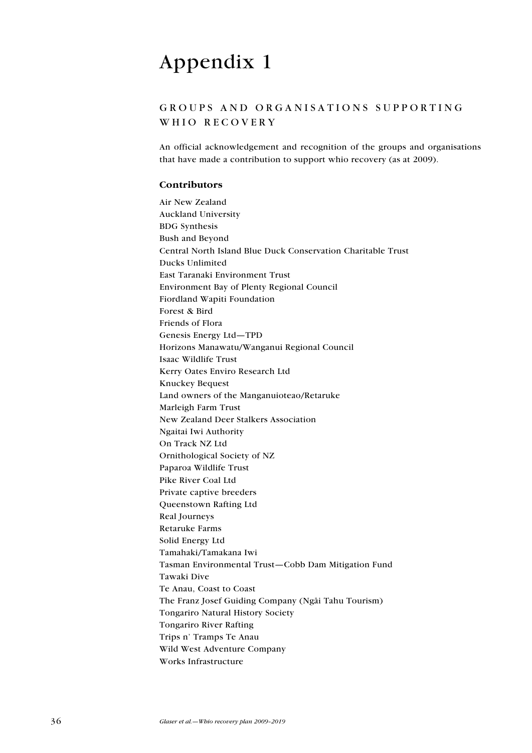# Appendix 1

## G roups and organisations supporting WHIO RECOVERY

An official acknowledgement and recognition of the groups and organisations that have made a contribution to support whio recovery (as at 2009).

### Contributors

Air New Zealand Auckland University BDG Synthesis Bush and Beyond Central North Island Blue Duck Conservation Charitable Trust Ducks Unlimited East Taranaki Environment Trust Environment Bay of Plenty Regional Council Fiordland Wapiti Foundation Forest & Bird Friends of Flora Genesis Energy Ltd—TPD Horizons Manawatu/Wanganui Regional Council Isaac Wildlife Trust Kerry Oates Enviro Research Ltd Knuckey Bequest Land owners of the Manganuioteao/Retaruke Marleigh Farm Trust New Zealand Deer Stalkers Association Ngaitai Iwi Authority On Track NZ Ltd Ornithological Society of NZ Paparoa Wildlife Trust Pike River Coal Ltd Private captive breeders Queenstown Rafting Ltd Real Journeys Retaruke Farms Solid Energy Ltd Tamahaki/Tamakana Iwi Tasman Environmental Trust—Cobb Dam Mitigation Fund Tawaki Dive Te Anau, Coast to Coast The Franz Josef Guiding Company (Ngäi Tahu Tourism) Tongariro Natural History Society Tongariro River Rafting Trips n' Tramps Te Anau Wild West Adventure Company Works Infrastructure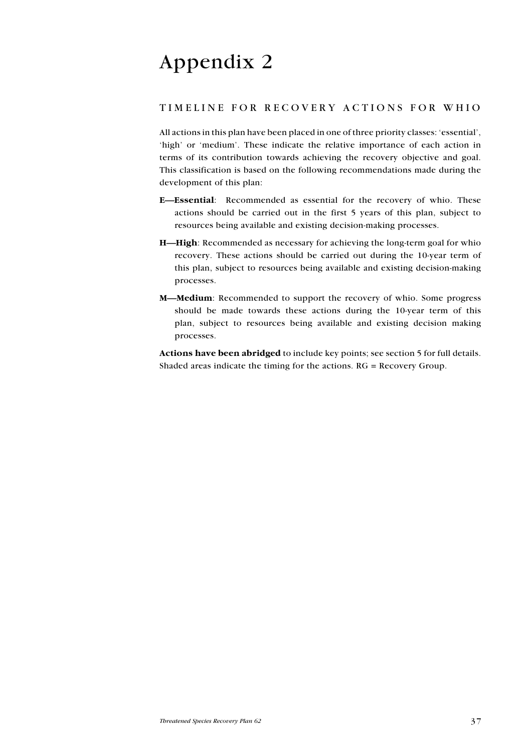# Appendix 2

## T imeline for recovery actions for whio

All actions in this plan have been placed in one of three priority classes: 'essential', 'high' or 'medium'. These indicate the relative importance of each action in terms of its contribution towards achieving the recovery objective and goal. This classification is based on the following recommendations made during the development of this plan:

- E—Essential: Recommended as essential for the recovery of whio. These actions should be carried out in the first 5 years of this plan, subject to resources being available and existing decision-making processes.
- H—High: Recommended as necessary for achieving the long-term goal for whio recovery. These actions should be carried out during the 10-year term of this plan, subject to resources being available and existing decision-making processes.
- M—Medium: Recommended to support the recovery of whio. Some progress should be made towards these actions during the 10-year term of this plan, subject to resources being available and existing decision making processes.

Actions have been abridged to include key points; see section 5 for full details. Shaded areas indicate the timing for the actions. RG = Recovery Group.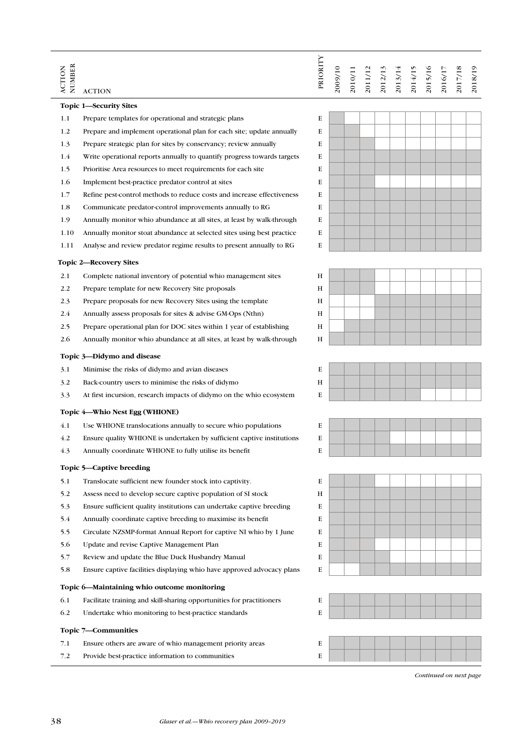| <b>Topic 1—Security Sites</b><br>E<br>1.1<br>Prepare templates for operational and strategic plans<br>1.2<br>Prepare and implement operational plan for each site; update annually<br>E<br>1.3<br>E<br>Prepare strategic plan for sites by conservancy; review annually<br>1.4<br>Write operational reports annually to quantify progress towards targets<br>Е<br>1.5<br>E<br>Prioritise Area resources to meet requirements for each site.<br>1.6<br>E<br>Implement best-practice predator control at sites<br>1.7<br>E<br>Refine pest-control methods to reduce costs and increase effectiveness<br>E<br>1.8<br>Communicate predator-control improvements annually to RG<br>1.9<br>Annually monitor whio abundance at all sites, at least by walk-through<br>Е<br>E<br>1.10<br>Annually monitor stoat abundance at selected sites using best practice<br>E<br>1.11<br>Analyse and review predator regime results to present annually to RG<br><b>Topic 2—Recovery Sites</b><br>2.1<br>Complete national inventory of potential whio management sites<br>H<br>2.2<br>H<br>Prepare template for new Recovery Site proposals<br>2.3<br>H<br>Prepare proposals for new Recovery Sites using the template<br>2.4<br>H<br>Annually assess proposals for sites & advise GM-Ops (Nthn)<br>2.5<br>H<br>Prepare operational plan for DOC sites within 1 year of establishing<br>2.6<br>Annually monitor whio abundance at all sites, at least by walk-through<br>H<br>Topic 3-Didymo and disease<br>3.1<br>E<br>Minimise the risks of didymo and avian diseases<br>3.2<br>H<br>Back-country users to minimise the risks of didymo<br>3.3<br>E<br>At first incursion, research impacts of didymo on the whio ecosystem<br>Topic 4—Whio Nest Egg (WHIONE)<br>4.1<br>E<br>Use WHIONE translocations annually to secure whio populations<br>4.2<br>Ensure quality WHIONE is undertaken by sufficient captive institutions<br>E<br>4.3<br>E<br>Annually coordinate WHIONE to fully utilise its benefit<br>Topic 5—Captive breeding<br>5.1<br>Translocate sufficient new founder stock into captivity.<br>Е<br>5.2<br>H<br>Assess need to develop secure captive population of SI stock<br>5.3<br>E<br>Ensure sufficient quality institutions can undertake captive breeding<br>5.4<br>E<br>Annually coordinate captive breeding to maximise its benefit.<br>5.5<br>Е<br>Circulate NZSMP-format Annual Report for captive NI whio by 1 June<br>5.6<br>E<br>Update and revise Captive Management Plan<br>5.7<br>E<br>Review and update the Blue Duck Husbandry Manual<br>5.8<br>E<br>Ensure captive facilities displaying whio have approved advocacy plans<br>Topic 6—Maintaining whio outcome monitoring<br>6.1<br>Е<br>Facilitate training and skill sharing opportunities for practitioners<br>6.2<br>E<br>Undertake whio monitoring to best-practice standards<br>Topic 7—Communities<br>7.1<br>E<br>Ensure others are aware of whio management priority areas | NUMBER<br><b>ACTION</b> | <b>ACTION</b>                                    | PRIORITY | 2009/10 | 2010/11 | 2011/12 | 2012/13 | 2013/14 | 2014/15 | 2015/16 | 2016/17 | 2017/18 | 2018/19 |
|------------------------------------------------------------------------------------------------------------------------------------------------------------------------------------------------------------------------------------------------------------------------------------------------------------------------------------------------------------------------------------------------------------------------------------------------------------------------------------------------------------------------------------------------------------------------------------------------------------------------------------------------------------------------------------------------------------------------------------------------------------------------------------------------------------------------------------------------------------------------------------------------------------------------------------------------------------------------------------------------------------------------------------------------------------------------------------------------------------------------------------------------------------------------------------------------------------------------------------------------------------------------------------------------------------------------------------------------------------------------------------------------------------------------------------------------------------------------------------------------------------------------------------------------------------------------------------------------------------------------------------------------------------------------------------------------------------------------------------------------------------------------------------------------------------------------------------------------------------------------------------------------------------------------------------------------------------------------------------------------------------------------------------------------------------------------------------------------------------------------------------------------------------------------------------------------------------------------------------------------------------------------------------------------------------------------------------------------------------------------------------------------------------------------------------------------------------------------------------------------------------------------------------------------------------------------------------------------------------------------------------------------------------------------------------------------------------------------------------------------------------------------------------------------------------------------------------------------------------------------------------------------------------------------------------------------------|-------------------------|--------------------------------------------------|----------|---------|---------|---------|---------|---------|---------|---------|---------|---------|---------|
|                                                                                                                                                                                                                                                                                                                                                                                                                                                                                                                                                                                                                                                                                                                                                                                                                                                                                                                                                                                                                                                                                                                                                                                                                                                                                                                                                                                                                                                                                                                                                                                                                                                                                                                                                                                                                                                                                                                                                                                                                                                                                                                                                                                                                                                                                                                                                                                                                                                                                                                                                                                                                                                                                                                                                                                                                                                                                                                                                      |                         |                                                  |          |         |         |         |         |         |         |         |         |         |         |
|                                                                                                                                                                                                                                                                                                                                                                                                                                                                                                                                                                                                                                                                                                                                                                                                                                                                                                                                                                                                                                                                                                                                                                                                                                                                                                                                                                                                                                                                                                                                                                                                                                                                                                                                                                                                                                                                                                                                                                                                                                                                                                                                                                                                                                                                                                                                                                                                                                                                                                                                                                                                                                                                                                                                                                                                                                                                                                                                                      |                         |                                                  |          |         |         |         |         |         |         |         |         |         |         |
|                                                                                                                                                                                                                                                                                                                                                                                                                                                                                                                                                                                                                                                                                                                                                                                                                                                                                                                                                                                                                                                                                                                                                                                                                                                                                                                                                                                                                                                                                                                                                                                                                                                                                                                                                                                                                                                                                                                                                                                                                                                                                                                                                                                                                                                                                                                                                                                                                                                                                                                                                                                                                                                                                                                                                                                                                                                                                                                                                      |                         |                                                  |          |         |         |         |         |         |         |         |         |         |         |
|                                                                                                                                                                                                                                                                                                                                                                                                                                                                                                                                                                                                                                                                                                                                                                                                                                                                                                                                                                                                                                                                                                                                                                                                                                                                                                                                                                                                                                                                                                                                                                                                                                                                                                                                                                                                                                                                                                                                                                                                                                                                                                                                                                                                                                                                                                                                                                                                                                                                                                                                                                                                                                                                                                                                                                                                                                                                                                                                                      |                         |                                                  |          |         |         |         |         |         |         |         |         |         |         |
|                                                                                                                                                                                                                                                                                                                                                                                                                                                                                                                                                                                                                                                                                                                                                                                                                                                                                                                                                                                                                                                                                                                                                                                                                                                                                                                                                                                                                                                                                                                                                                                                                                                                                                                                                                                                                                                                                                                                                                                                                                                                                                                                                                                                                                                                                                                                                                                                                                                                                                                                                                                                                                                                                                                                                                                                                                                                                                                                                      |                         |                                                  |          |         |         |         |         |         |         |         |         |         |         |
|                                                                                                                                                                                                                                                                                                                                                                                                                                                                                                                                                                                                                                                                                                                                                                                                                                                                                                                                                                                                                                                                                                                                                                                                                                                                                                                                                                                                                                                                                                                                                                                                                                                                                                                                                                                                                                                                                                                                                                                                                                                                                                                                                                                                                                                                                                                                                                                                                                                                                                                                                                                                                                                                                                                                                                                                                                                                                                                                                      |                         |                                                  |          |         |         |         |         |         |         |         |         |         |         |
|                                                                                                                                                                                                                                                                                                                                                                                                                                                                                                                                                                                                                                                                                                                                                                                                                                                                                                                                                                                                                                                                                                                                                                                                                                                                                                                                                                                                                                                                                                                                                                                                                                                                                                                                                                                                                                                                                                                                                                                                                                                                                                                                                                                                                                                                                                                                                                                                                                                                                                                                                                                                                                                                                                                                                                                                                                                                                                                                                      |                         |                                                  |          |         |         |         |         |         |         |         |         |         |         |
|                                                                                                                                                                                                                                                                                                                                                                                                                                                                                                                                                                                                                                                                                                                                                                                                                                                                                                                                                                                                                                                                                                                                                                                                                                                                                                                                                                                                                                                                                                                                                                                                                                                                                                                                                                                                                                                                                                                                                                                                                                                                                                                                                                                                                                                                                                                                                                                                                                                                                                                                                                                                                                                                                                                                                                                                                                                                                                                                                      |                         |                                                  |          |         |         |         |         |         |         |         |         |         |         |
|                                                                                                                                                                                                                                                                                                                                                                                                                                                                                                                                                                                                                                                                                                                                                                                                                                                                                                                                                                                                                                                                                                                                                                                                                                                                                                                                                                                                                                                                                                                                                                                                                                                                                                                                                                                                                                                                                                                                                                                                                                                                                                                                                                                                                                                                                                                                                                                                                                                                                                                                                                                                                                                                                                                                                                                                                                                                                                                                                      |                         |                                                  |          |         |         |         |         |         |         |         |         |         |         |
|                                                                                                                                                                                                                                                                                                                                                                                                                                                                                                                                                                                                                                                                                                                                                                                                                                                                                                                                                                                                                                                                                                                                                                                                                                                                                                                                                                                                                                                                                                                                                                                                                                                                                                                                                                                                                                                                                                                                                                                                                                                                                                                                                                                                                                                                                                                                                                                                                                                                                                                                                                                                                                                                                                                                                                                                                                                                                                                                                      |                         |                                                  |          |         |         |         |         |         |         |         |         |         |         |
|                                                                                                                                                                                                                                                                                                                                                                                                                                                                                                                                                                                                                                                                                                                                                                                                                                                                                                                                                                                                                                                                                                                                                                                                                                                                                                                                                                                                                                                                                                                                                                                                                                                                                                                                                                                                                                                                                                                                                                                                                                                                                                                                                                                                                                                                                                                                                                                                                                                                                                                                                                                                                                                                                                                                                                                                                                                                                                                                                      |                         |                                                  |          |         |         |         |         |         |         |         |         |         |         |
|                                                                                                                                                                                                                                                                                                                                                                                                                                                                                                                                                                                                                                                                                                                                                                                                                                                                                                                                                                                                                                                                                                                                                                                                                                                                                                                                                                                                                                                                                                                                                                                                                                                                                                                                                                                                                                                                                                                                                                                                                                                                                                                                                                                                                                                                                                                                                                                                                                                                                                                                                                                                                                                                                                                                                                                                                                                                                                                                                      |                         |                                                  |          |         |         |         |         |         |         |         |         |         |         |
|                                                                                                                                                                                                                                                                                                                                                                                                                                                                                                                                                                                                                                                                                                                                                                                                                                                                                                                                                                                                                                                                                                                                                                                                                                                                                                                                                                                                                                                                                                                                                                                                                                                                                                                                                                                                                                                                                                                                                                                                                                                                                                                                                                                                                                                                                                                                                                                                                                                                                                                                                                                                                                                                                                                                                                                                                                                                                                                                                      |                         |                                                  |          |         |         |         |         |         |         |         |         |         |         |
|                                                                                                                                                                                                                                                                                                                                                                                                                                                                                                                                                                                                                                                                                                                                                                                                                                                                                                                                                                                                                                                                                                                                                                                                                                                                                                                                                                                                                                                                                                                                                                                                                                                                                                                                                                                                                                                                                                                                                                                                                                                                                                                                                                                                                                                                                                                                                                                                                                                                                                                                                                                                                                                                                                                                                                                                                                                                                                                                                      |                         |                                                  |          |         |         |         |         |         |         |         |         |         |         |
|                                                                                                                                                                                                                                                                                                                                                                                                                                                                                                                                                                                                                                                                                                                                                                                                                                                                                                                                                                                                                                                                                                                                                                                                                                                                                                                                                                                                                                                                                                                                                                                                                                                                                                                                                                                                                                                                                                                                                                                                                                                                                                                                                                                                                                                                                                                                                                                                                                                                                                                                                                                                                                                                                                                                                                                                                                                                                                                                                      |                         |                                                  |          |         |         |         |         |         |         |         |         |         |         |
|                                                                                                                                                                                                                                                                                                                                                                                                                                                                                                                                                                                                                                                                                                                                                                                                                                                                                                                                                                                                                                                                                                                                                                                                                                                                                                                                                                                                                                                                                                                                                                                                                                                                                                                                                                                                                                                                                                                                                                                                                                                                                                                                                                                                                                                                                                                                                                                                                                                                                                                                                                                                                                                                                                                                                                                                                                                                                                                                                      |                         |                                                  |          |         |         |         |         |         |         |         |         |         |         |
|                                                                                                                                                                                                                                                                                                                                                                                                                                                                                                                                                                                                                                                                                                                                                                                                                                                                                                                                                                                                                                                                                                                                                                                                                                                                                                                                                                                                                                                                                                                                                                                                                                                                                                                                                                                                                                                                                                                                                                                                                                                                                                                                                                                                                                                                                                                                                                                                                                                                                                                                                                                                                                                                                                                                                                                                                                                                                                                                                      |                         |                                                  |          |         |         |         |         |         |         |         |         |         |         |
|                                                                                                                                                                                                                                                                                                                                                                                                                                                                                                                                                                                                                                                                                                                                                                                                                                                                                                                                                                                                                                                                                                                                                                                                                                                                                                                                                                                                                                                                                                                                                                                                                                                                                                                                                                                                                                                                                                                                                                                                                                                                                                                                                                                                                                                                                                                                                                                                                                                                                                                                                                                                                                                                                                                                                                                                                                                                                                                                                      |                         |                                                  |          |         |         |         |         |         |         |         |         |         |         |
|                                                                                                                                                                                                                                                                                                                                                                                                                                                                                                                                                                                                                                                                                                                                                                                                                                                                                                                                                                                                                                                                                                                                                                                                                                                                                                                                                                                                                                                                                                                                                                                                                                                                                                                                                                                                                                                                                                                                                                                                                                                                                                                                                                                                                                                                                                                                                                                                                                                                                                                                                                                                                                                                                                                                                                                                                                                                                                                                                      |                         |                                                  |          |         |         |         |         |         |         |         |         |         |         |
|                                                                                                                                                                                                                                                                                                                                                                                                                                                                                                                                                                                                                                                                                                                                                                                                                                                                                                                                                                                                                                                                                                                                                                                                                                                                                                                                                                                                                                                                                                                                                                                                                                                                                                                                                                                                                                                                                                                                                                                                                                                                                                                                                                                                                                                                                                                                                                                                                                                                                                                                                                                                                                                                                                                                                                                                                                                                                                                                                      |                         |                                                  |          |         |         |         |         |         |         |         |         |         |         |
|                                                                                                                                                                                                                                                                                                                                                                                                                                                                                                                                                                                                                                                                                                                                                                                                                                                                                                                                                                                                                                                                                                                                                                                                                                                                                                                                                                                                                                                                                                                                                                                                                                                                                                                                                                                                                                                                                                                                                                                                                                                                                                                                                                                                                                                                                                                                                                                                                                                                                                                                                                                                                                                                                                                                                                                                                                                                                                                                                      |                         |                                                  |          |         |         |         |         |         |         |         |         |         |         |
|                                                                                                                                                                                                                                                                                                                                                                                                                                                                                                                                                                                                                                                                                                                                                                                                                                                                                                                                                                                                                                                                                                                                                                                                                                                                                                                                                                                                                                                                                                                                                                                                                                                                                                                                                                                                                                                                                                                                                                                                                                                                                                                                                                                                                                                                                                                                                                                                                                                                                                                                                                                                                                                                                                                                                                                                                                                                                                                                                      |                         |                                                  |          |         |         |         |         |         |         |         |         |         |         |
|                                                                                                                                                                                                                                                                                                                                                                                                                                                                                                                                                                                                                                                                                                                                                                                                                                                                                                                                                                                                                                                                                                                                                                                                                                                                                                                                                                                                                                                                                                                                                                                                                                                                                                                                                                                                                                                                                                                                                                                                                                                                                                                                                                                                                                                                                                                                                                                                                                                                                                                                                                                                                                                                                                                                                                                                                                                                                                                                                      |                         |                                                  |          |         |         |         |         |         |         |         |         |         |         |
|                                                                                                                                                                                                                                                                                                                                                                                                                                                                                                                                                                                                                                                                                                                                                                                                                                                                                                                                                                                                                                                                                                                                                                                                                                                                                                                                                                                                                                                                                                                                                                                                                                                                                                                                                                                                                                                                                                                                                                                                                                                                                                                                                                                                                                                                                                                                                                                                                                                                                                                                                                                                                                                                                                                                                                                                                                                                                                                                                      |                         |                                                  |          |         |         |         |         |         |         |         |         |         |         |
|                                                                                                                                                                                                                                                                                                                                                                                                                                                                                                                                                                                                                                                                                                                                                                                                                                                                                                                                                                                                                                                                                                                                                                                                                                                                                                                                                                                                                                                                                                                                                                                                                                                                                                                                                                                                                                                                                                                                                                                                                                                                                                                                                                                                                                                                                                                                                                                                                                                                                                                                                                                                                                                                                                                                                                                                                                                                                                                                                      |                         |                                                  |          |         |         |         |         |         |         |         |         |         |         |
|                                                                                                                                                                                                                                                                                                                                                                                                                                                                                                                                                                                                                                                                                                                                                                                                                                                                                                                                                                                                                                                                                                                                                                                                                                                                                                                                                                                                                                                                                                                                                                                                                                                                                                                                                                                                                                                                                                                                                                                                                                                                                                                                                                                                                                                                                                                                                                                                                                                                                                                                                                                                                                                                                                                                                                                                                                                                                                                                                      |                         |                                                  |          |         |         |         |         |         |         |         |         |         |         |
|                                                                                                                                                                                                                                                                                                                                                                                                                                                                                                                                                                                                                                                                                                                                                                                                                                                                                                                                                                                                                                                                                                                                                                                                                                                                                                                                                                                                                                                                                                                                                                                                                                                                                                                                                                                                                                                                                                                                                                                                                                                                                                                                                                                                                                                                                                                                                                                                                                                                                                                                                                                                                                                                                                                                                                                                                                                                                                                                                      |                         |                                                  |          |         |         |         |         |         |         |         |         |         |         |
|                                                                                                                                                                                                                                                                                                                                                                                                                                                                                                                                                                                                                                                                                                                                                                                                                                                                                                                                                                                                                                                                                                                                                                                                                                                                                                                                                                                                                                                                                                                                                                                                                                                                                                                                                                                                                                                                                                                                                                                                                                                                                                                                                                                                                                                                                                                                                                                                                                                                                                                                                                                                                                                                                                                                                                                                                                                                                                                                                      |                         |                                                  |          |         |         |         |         |         |         |         |         |         |         |
|                                                                                                                                                                                                                                                                                                                                                                                                                                                                                                                                                                                                                                                                                                                                                                                                                                                                                                                                                                                                                                                                                                                                                                                                                                                                                                                                                                                                                                                                                                                                                                                                                                                                                                                                                                                                                                                                                                                                                                                                                                                                                                                                                                                                                                                                                                                                                                                                                                                                                                                                                                                                                                                                                                                                                                                                                                                                                                                                                      |                         |                                                  |          |         |         |         |         |         |         |         |         |         |         |
|                                                                                                                                                                                                                                                                                                                                                                                                                                                                                                                                                                                                                                                                                                                                                                                                                                                                                                                                                                                                                                                                                                                                                                                                                                                                                                                                                                                                                                                                                                                                                                                                                                                                                                                                                                                                                                                                                                                                                                                                                                                                                                                                                                                                                                                                                                                                                                                                                                                                                                                                                                                                                                                                                                                                                                                                                                                                                                                                                      |                         |                                                  |          |         |         |         |         |         |         |         |         |         |         |
|                                                                                                                                                                                                                                                                                                                                                                                                                                                                                                                                                                                                                                                                                                                                                                                                                                                                                                                                                                                                                                                                                                                                                                                                                                                                                                                                                                                                                                                                                                                                                                                                                                                                                                                                                                                                                                                                                                                                                                                                                                                                                                                                                                                                                                                                                                                                                                                                                                                                                                                                                                                                                                                                                                                                                                                                                                                                                                                                                      |                         |                                                  |          |         |         |         |         |         |         |         |         |         |         |
|                                                                                                                                                                                                                                                                                                                                                                                                                                                                                                                                                                                                                                                                                                                                                                                                                                                                                                                                                                                                                                                                                                                                                                                                                                                                                                                                                                                                                                                                                                                                                                                                                                                                                                                                                                                                                                                                                                                                                                                                                                                                                                                                                                                                                                                                                                                                                                                                                                                                                                                                                                                                                                                                                                                                                                                                                                                                                                                                                      |                         |                                                  |          |         |         |         |         |         |         |         |         |         |         |
|                                                                                                                                                                                                                                                                                                                                                                                                                                                                                                                                                                                                                                                                                                                                                                                                                                                                                                                                                                                                                                                                                                                                                                                                                                                                                                                                                                                                                                                                                                                                                                                                                                                                                                                                                                                                                                                                                                                                                                                                                                                                                                                                                                                                                                                                                                                                                                                                                                                                                                                                                                                                                                                                                                                                                                                                                                                                                                                                                      |                         |                                                  |          |         |         |         |         |         |         |         |         |         |         |
|                                                                                                                                                                                                                                                                                                                                                                                                                                                                                                                                                                                                                                                                                                                                                                                                                                                                                                                                                                                                                                                                                                                                                                                                                                                                                                                                                                                                                                                                                                                                                                                                                                                                                                                                                                                                                                                                                                                                                                                                                                                                                                                                                                                                                                                                                                                                                                                                                                                                                                                                                                                                                                                                                                                                                                                                                                                                                                                                                      |                         |                                                  |          |         |         |         |         |         |         |         |         |         |         |
|                                                                                                                                                                                                                                                                                                                                                                                                                                                                                                                                                                                                                                                                                                                                                                                                                                                                                                                                                                                                                                                                                                                                                                                                                                                                                                                                                                                                                                                                                                                                                                                                                                                                                                                                                                                                                                                                                                                                                                                                                                                                                                                                                                                                                                                                                                                                                                                                                                                                                                                                                                                                                                                                                                                                                                                                                                                                                                                                                      |                         |                                                  |          |         |         |         |         |         |         |         |         |         |         |
|                                                                                                                                                                                                                                                                                                                                                                                                                                                                                                                                                                                                                                                                                                                                                                                                                                                                                                                                                                                                                                                                                                                                                                                                                                                                                                                                                                                                                                                                                                                                                                                                                                                                                                                                                                                                                                                                                                                                                                                                                                                                                                                                                                                                                                                                                                                                                                                                                                                                                                                                                                                                                                                                                                                                                                                                                                                                                                                                                      |                         |                                                  |          |         |         |         |         |         |         |         |         |         |         |
|                                                                                                                                                                                                                                                                                                                                                                                                                                                                                                                                                                                                                                                                                                                                                                                                                                                                                                                                                                                                                                                                                                                                                                                                                                                                                                                                                                                                                                                                                                                                                                                                                                                                                                                                                                                                                                                                                                                                                                                                                                                                                                                                                                                                                                                                                                                                                                                                                                                                                                                                                                                                                                                                                                                                                                                                                                                                                                                                                      |                         |                                                  |          |         |         |         |         |         |         |         |         |         |         |
|                                                                                                                                                                                                                                                                                                                                                                                                                                                                                                                                                                                                                                                                                                                                                                                                                                                                                                                                                                                                                                                                                                                                                                                                                                                                                                                                                                                                                                                                                                                                                                                                                                                                                                                                                                                                                                                                                                                                                                                                                                                                                                                                                                                                                                                                                                                                                                                                                                                                                                                                                                                                                                                                                                                                                                                                                                                                                                                                                      |                         |                                                  |          |         |         |         |         |         |         |         |         |         |         |
|                                                                                                                                                                                                                                                                                                                                                                                                                                                                                                                                                                                                                                                                                                                                                                                                                                                                                                                                                                                                                                                                                                                                                                                                                                                                                                                                                                                                                                                                                                                                                                                                                                                                                                                                                                                                                                                                                                                                                                                                                                                                                                                                                                                                                                                                                                                                                                                                                                                                                                                                                                                                                                                                                                                                                                                                                                                                                                                                                      |                         |                                                  |          |         |         |         |         |         |         |         |         |         |         |
|                                                                                                                                                                                                                                                                                                                                                                                                                                                                                                                                                                                                                                                                                                                                                                                                                                                                                                                                                                                                                                                                                                                                                                                                                                                                                                                                                                                                                                                                                                                                                                                                                                                                                                                                                                                                                                                                                                                                                                                                                                                                                                                                                                                                                                                                                                                                                                                                                                                                                                                                                                                                                                                                                                                                                                                                                                                                                                                                                      |                         |                                                  |          |         |         |         |         |         |         |         |         |         |         |
|                                                                                                                                                                                                                                                                                                                                                                                                                                                                                                                                                                                                                                                                                                                                                                                                                                                                                                                                                                                                                                                                                                                                                                                                                                                                                                                                                                                                                                                                                                                                                                                                                                                                                                                                                                                                                                                                                                                                                                                                                                                                                                                                                                                                                                                                                                                                                                                                                                                                                                                                                                                                                                                                                                                                                                                                                                                                                                                                                      |                         |                                                  |          |         |         |         |         |         |         |         |         |         |         |
|                                                                                                                                                                                                                                                                                                                                                                                                                                                                                                                                                                                                                                                                                                                                                                                                                                                                                                                                                                                                                                                                                                                                                                                                                                                                                                                                                                                                                                                                                                                                                                                                                                                                                                                                                                                                                                                                                                                                                                                                                                                                                                                                                                                                                                                                                                                                                                                                                                                                                                                                                                                                                                                                                                                                                                                                                                                                                                                                                      |                         |                                                  |          |         |         |         |         |         |         |         |         |         |         |
|                                                                                                                                                                                                                                                                                                                                                                                                                                                                                                                                                                                                                                                                                                                                                                                                                                                                                                                                                                                                                                                                                                                                                                                                                                                                                                                                                                                                                                                                                                                                                                                                                                                                                                                                                                                                                                                                                                                                                                                                                                                                                                                                                                                                                                                                                                                                                                                                                                                                                                                                                                                                                                                                                                                                                                                                                                                                                                                                                      | 7.2                     | Provide best-practice information to communities | Е        |         |         |         |         |         |         |         |         |         |         |

Continued on next page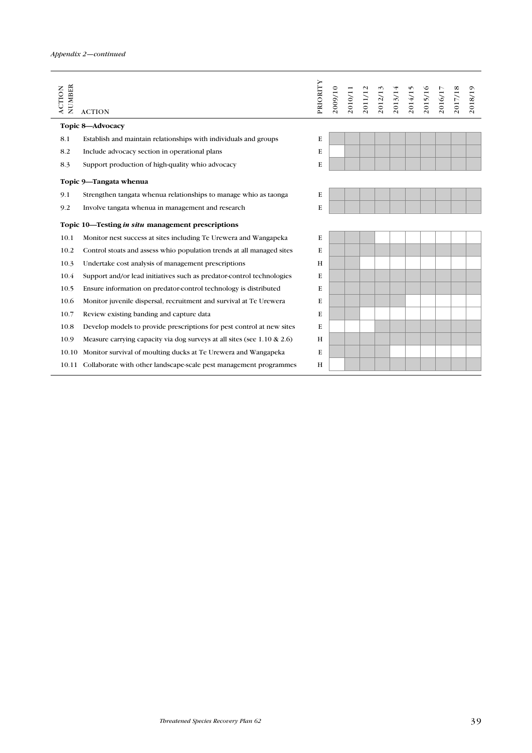| NUMBER<br><b>ACTION</b> | <b>ACTION</b>                                                              | PRIORITY | 2009/10 | 2010/11<br>2011/12<br>2012/13<br>2013/14<br>2015/15<br>2015/10<br>2015/11 |  |  |  | 2018/19 |
|-------------------------|----------------------------------------------------------------------------|----------|---------|---------------------------------------------------------------------------|--|--|--|---------|
|                         | Topic 8-Advocacy                                                           |          |         |                                                                           |  |  |  |         |
| 8.1                     | Establish and maintain relationships with individuals and groups           | Е        |         |                                                                           |  |  |  |         |
| 8.2                     | Include advocacy section in operational plans                              | E        |         |                                                                           |  |  |  |         |
| 8.3                     | Support production of high-quality whio advocacy                           | E        |         |                                                                           |  |  |  |         |
|                         | Topic 9-Tangata whenua                                                     |          |         |                                                                           |  |  |  |         |
| 9.1                     | Strengthen tangata whenua relationships to manage whio as taonga           | E        |         |                                                                           |  |  |  |         |
| 9.2                     | Involve tangata whenua in management and research                          | E        |         |                                                                           |  |  |  |         |
|                         | Topic 10—Testing in situ management prescriptions                          |          |         |                                                                           |  |  |  |         |
| 10.1                    | Monitor nest success at sites including Te Urewera and Wangapeka           | E        |         |                                                                           |  |  |  |         |
| 10.2                    | Control stoats and assess whio population trends at all managed sites      | E        |         |                                                                           |  |  |  |         |
| 10.3                    | Undertake cost analysis of management prescriptions                        | H        |         |                                                                           |  |  |  |         |
| 10.4                    | Support and/or lead initiatives such as predator-control technologies      | E        |         |                                                                           |  |  |  |         |
| 10.5                    | Ensure information on predator-control technology is distributed           | E        |         |                                                                           |  |  |  |         |
| 10.6                    | Monitor juvenile dispersal, recruitment and survival at Te Urewera         | E        |         |                                                                           |  |  |  |         |
| 10.7                    | Review existing banding and capture data                                   | E        |         |                                                                           |  |  |  |         |
| 10.8                    | Develop models to provide prescriptions for pest control at new sites      | E        |         |                                                                           |  |  |  |         |
| 10.9                    | Measure carrying capacity via dog surveys at all sites (see 1.10 $\&$ 2.6) | H        |         |                                                                           |  |  |  |         |
| 10.10                   | Monitor survival of moulting ducks at Te Urewera and Wangapeka             | E        |         |                                                                           |  |  |  |         |
|                         | 10.11 Collaborate with other landscape-scale pest management programmes    | H        |         |                                                                           |  |  |  |         |